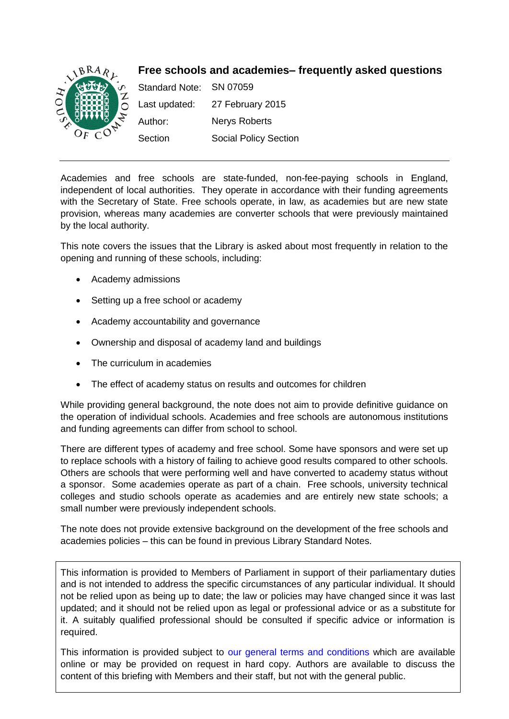<span id="page-0-0"></span>

Academies and free schools are state-funded, non-fee-paying schools in England, independent of local authorities. They operate in accordance with their funding agreements with the Secretary of State. Free schools operate, in law, as academies but are new state provision, whereas many academies are converter schools that were previously maintained by the local authority.

This note covers the issues that the Library is asked about most frequently in relation to the opening and running of these schools, including:

- Academy admissions
- Setting up a free school or academy
- Academy accountability and governance
- Ownership and disposal of academy land and buildings
- The curriculum in academies
- The effect of academy status on results and outcomes for children

While providing general background, the note does not aim to provide definitive guidance on the operation of individual schools. Academies and free schools are autonomous institutions and funding agreements can differ from school to school.

There are different types of academy and free school. Some have sponsors and were set up to replace schools with a history of failing to achieve good results compared to other schools. Others are schools that were performing well and have converted to academy status without a sponsor. Some academies operate as part of a chain. Free schools, university technical colleges and studio schools operate as academies and are entirely new state schools; a small number were previously independent schools.

The note does not provide extensive background on the development of the free schools and academies policies – this can be found in previous Library Standard Notes.

This information is provided to Members of Parliament in support of their parliamentary duties and is not intended to address the specific circumstances of any particular individual. It should not be relied upon as being up to date; the law or policies may have changed since it was last updated; and it should not be relied upon as legal or professional advice or as a substitute for it. A suitably qualified professional should be consulted if specific advice or information is required.

This information is provided subject to [our general terms and conditions](http://www.parliament.uk/site-information/copyright/) which are available online or may be provided on request in hard copy. Authors are available to discuss the content of this briefing with Members and their staff, but not with the general public.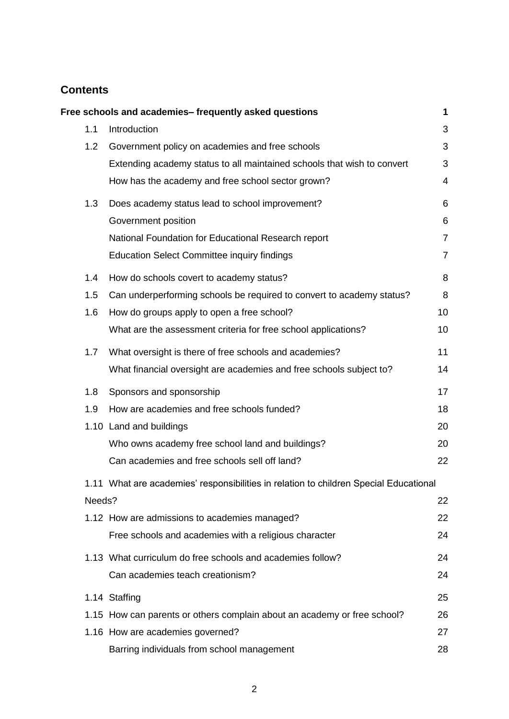# **Contents**

|        | Free schools and academies-frequently asked questions                                 | 1              |
|--------|---------------------------------------------------------------------------------------|----------------|
| 1.1    | Introduction                                                                          | 3              |
| 1.2    | Government policy on academies and free schools                                       | 3              |
|        | Extending academy status to all maintained schools that wish to convert               | 3              |
|        | How has the academy and free school sector grown?                                     | $\overline{4}$ |
| 1.3    | Does academy status lead to school improvement?                                       | 6              |
|        | Government position                                                                   | 6              |
|        | National Foundation for Educational Research report                                   | $\overline{7}$ |
|        | <b>Education Select Committee inquiry findings</b>                                    | $\overline{7}$ |
| 1.4    | How do schools covert to academy status?                                              | 8              |
| 1.5    | Can underperforming schools be required to convert to academy status?                 | 8              |
| 1.6    | How do groups apply to open a free school?                                            | 10             |
|        | What are the assessment criteria for free school applications?                        | 10             |
| 1.7    | What oversight is there of free schools and academies?                                | 11             |
|        | What financial oversight are academies and free schools subject to?                   | 14             |
| 1.8    | Sponsors and sponsorship                                                              | 17             |
| 1.9    | How are academies and free schools funded?                                            | 18             |
|        | 1.10 Land and buildings                                                               | 20             |
|        | Who owns academy free school land and buildings?                                      | 20             |
|        | Can academies and free schools sell off land?                                         | 22             |
|        | 1.11 What are academies' responsibilities in relation to children Special Educational |                |
| Needs? |                                                                                       | 22             |
|        | 1.12 How are admissions to academies managed?                                         | 22             |
|        | Free schools and academies with a religious character                                 | 24             |
|        | 1.13 What curriculum do free schools and academies follow?                            | 24             |
|        | Can academies teach creationism?                                                      | 24             |
|        | 1.14 Staffing                                                                         | 25             |
|        | 1.15 How can parents or others complain about an academy or free school?              | 26             |
|        | 1.16 How are academies governed?                                                      | 27             |
|        | Barring individuals from school management                                            | 28             |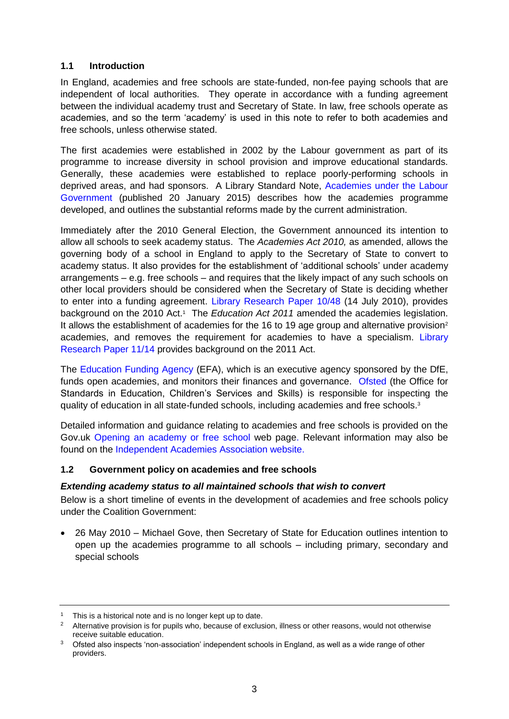# <span id="page-2-0"></span>**1.1 Introduction**

In England, academies and free schools are state-funded, non-fee paying schools that are independent of local authorities. They operate in accordance with a funding agreement between the individual academy trust and Secretary of State. In law, free schools operate as academies, and so the term 'academy' is used in this note to refer to both academies and free schools, unless otherwise stated.

The first academies were established in 2002 by the Labour government as part of its programme to increase diversity in school provision and improve educational standards. Generally, these academies were established to replace poorly-performing schools in deprived areas, and had sponsors. A Library Standard Note, [Academies under the Labour](http://www.parliament.uk/briefing-papers/SN05544)  [Government](http://www.parliament.uk/briefing-papers/SN05544) (published 20 January 2015) describes how the academies programme developed, and outlines the substantial reforms made by the current administration.

Immediately after the 2010 General Election, the Government announced its intention to allow all schools to seek academy status. The *Academies Act 2010,* as amended, allows the governing body of a school in England to apply to the Secretary of State to convert to academy status. It also provides for the establishment of 'additional schools' under academy arrangements – e.g. free schools – and requires that the likely impact of any such schools on other local providers should be considered when the Secretary of State is deciding whether to enter into a funding agreement. [Library](http://www.parliament.uk/briefing-papers/RP10-48) Research Paper 10/48 (14 July 2010), provides background on the 2010 Act.<sup>1</sup> The *Education Act 2011* amended the academies legislation. It allows the establishment of academies for the 16 to 19 age group and alternative provision<sup>2</sup> academies, and removes the requirement for academies to have a specialism. [Library](http://www.parliament.uk/briefing-papers/RP11-14)  [Research Paper 11/14](http://www.parliament.uk/briefing-papers/RP11-14) provides background on the 2011 Act.

The [Education Funding Agency](https://www.gov.uk/government/organisations/education-funding-agency) (EFA), which is an executive agency sponsored by the DfE, funds open academies, and monitors their finances and governance. [Ofsted](https://www.gov.uk/government/organisations/ofsted) (the Office for Standards in Education, Children's Services and Skills) is responsible for inspecting the quality of education in all state-funded schools, including academies and free schools. 3

Detailed information and guidance relating to academies and free schools is provided on the [Gov.uk Opening an academy or free school](https://www.gov.uk/schools-colleges-childrens-services/opening-academy-free-school) web page. Relevant information may also be found on the [Independent Academies Association website.](http://www.iaa.uk.net/)

### <span id="page-2-1"></span>**1.2 Government policy on academies and free schools**

### <span id="page-2-2"></span>*Extending academy status to all maintained schools that wish to convert*

Below is a short timeline of events in the development of academies and free schools policy under the Coalition Government:

 26 May 2010 – Michael Gove, then Secretary of State for Education outlines intention to open up the academies programme to all schools – including primary, secondary and special schools

<sup>&</sup>lt;sup>1</sup> This is a historical note and is no longer kept up to date.

<sup>&</sup>lt;sup>2</sup> Alternative provision is for pupils who, because of exclusion, illness or other reasons, would not otherwise receive suitable education.

<sup>&</sup>lt;sup>3</sup> Ofsted also inspects 'non-association' independent schools in England, as well as a wide range of other providers.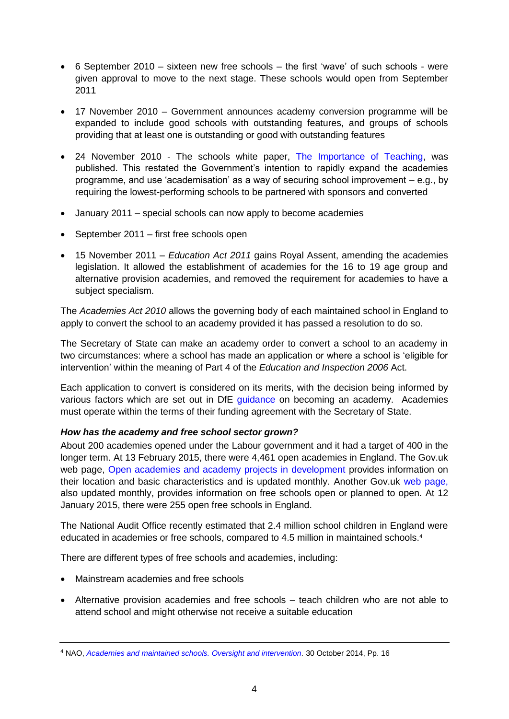- 6 September 2010 sixteen new free schools the first 'wave' of such schools were given approval to move to the next stage. These schools would open from September 2011
- 17 November 2010 Government announces academy conversion programme will be expanded to include good schools with outstanding features, and groups of schools providing that at least one is outstanding or good with outstanding features
- 24 November 2010 The schools white paper, [The Importance of Teaching,](http://publications.education.gov.uk/eOrderingDownload/CM-7980.pdf) was published. This restated the Government's intention to rapidly expand the academies programme, and use 'academisation' as a way of securing school improvement – e.g., by requiring the lowest-performing schools to be partnered with sponsors and converted
- January 2011 special schools can now apply to become academies
- September 2011 first free schools open
- 15 November 2011 *Education Act 2011* gains Royal Assent, amending the academies legislation. It allowed the establishment of academies for the 16 to 19 age group and alternative provision academies, and removed the requirement for academies to have a subject specialism.

The *Academies Act 2010* allows the governing body of each maintained school in England to apply to convert the school to an academy provided it has passed a resolution to do so.

The Secretary of State can make an academy order to convert a school to an academy in two circumstances: where a school has made an application or where a school is 'eligible for intervention' within the meaning of Part 4 of the *Education and Inspection 2006* Act.

Each application to convert is considered on its merits, with the decision being informed by various factors which are set out in DfE [guidance](https://www.gov.uk/become-an-academy-information-for-schools) on becoming an academy. Academies must operate within the terms of their funding agreement with the Secretary of State.

# <span id="page-3-0"></span>*How has the academy and free school sector grown?*

About 200 academies opened under the Labour government and it had a target of 400 in the longer term. At 13 February 2015, there were 4,461 open academies in England. The Gov.uk web page, [Open academies and academy projects in development](https://www.gov.uk/government/publications/open-academies-and-academy-projects-in-development) provides information on their location and basic characteristics and is updated monthly. Another Gov.uk [web page,](https://www.gov.uk/government/publications/free-schools-open-schools-and-successful-applications) also updated monthly, provides information on free schools open or planned to open. At 12 January 2015, there were 255 open free schools in England.

The National Audit Office recently estimated that 2.4 million school children in England were educated in academies or free schools, compared to 4.5 million in maintained schools.<sup>4</sup>

There are different types of free schools and academies, including:

- Mainstream academies and free schools
- Alternative provision academies and free schools teach children who are not able to attend school and might otherwise not receive a suitable education

<sup>4</sup> NAO, *[Academies and maintained schools. Oversight and intervention.](http://www.nao.org.uk/wp-content/uploads/2014/10/Academies-and-maintained-schools-Oversight-and-intervention.pdf)* 30 October 2014, Pp. 16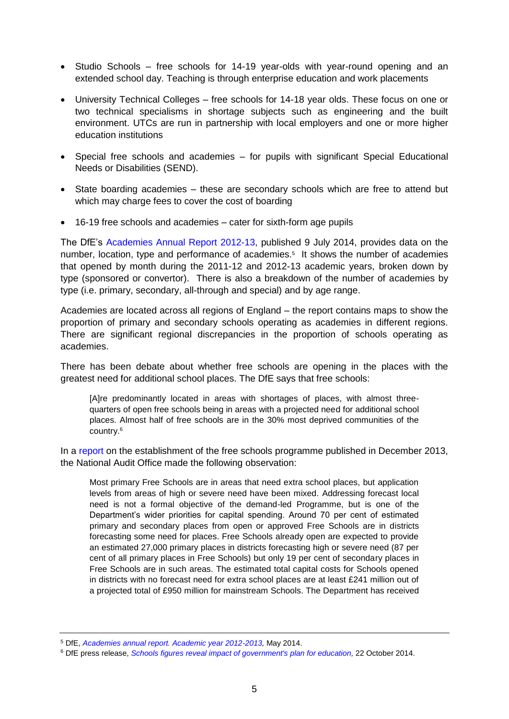- Studio Schools free schools for 14-19 year-olds with year-round opening and an extended school day. Teaching is through enterprise education and work placements
- University Technical Colleges free schools for 14-18 year olds. These focus on one or two technical specialisms in shortage subjects such as engineering and the built environment. UTCs are run in partnership with local employers and one or more higher education institutions
- Special free schools and academies for pupils with significant Special Educational Needs or Disabilities (SEND).
- State boarding academies these are secondary schools which are free to attend but which may charge fees to cover the cost of boarding
- 16-19 free schools and academies cater for sixth-form age pupils

The DfE's [Academies Annual Report 2012-13,](https://www.gov.uk/government/publications/academies-annual-report-academic-year-2012-to-2013) published 9 July 2014, provides data on the number, location, type and performance of academies.<sup>5</sup> It shows the number of academies that opened by month during the 2011-12 and 2012-13 academic years, broken down by type (sponsored or convertor). There is also a breakdown of the number of academies by type (i.e. primary, secondary, all-through and special) and by age range.

Academies are located across all regions of England – the report contains maps to show the proportion of primary and secondary schools operating as academies in different regions. There are significant regional discrepancies in the proportion of schools operating as academies.

There has been debate about whether free schools are opening in the places with the greatest need for additional school places. The DfE says that free schools:

[A]re predominantly located in areas with shortages of places, with almost threequarters of open free schools being in areas with a projected need for additional school places. Almost half of free schools are in the 30% most deprived communities of the country.<sup>6</sup>

In a [report](http://www.nao.org.uk/wp-content/uploads/2013/12/10314-001-Free-Schools-Book.pdf) on the establishment of the free schools programme published in December 2013, the National Audit Office made the following observation:

Most primary Free Schools are in areas that need extra school places, but application levels from areas of high or severe need have been mixed. Addressing forecast local need is not a formal objective of the demand-led Programme, but is one of the Department's wider priorities for capital spending. Around 70 per cent of estimated primary and secondary places from open or approved Free Schools are in districts forecasting some need for places. Free Schools already open are expected to provide an estimated 27,000 primary places in districts forecasting high or severe need (87 per cent of all primary places in Free Schools) but only 19 per cent of secondary places in Free Schools are in such areas. The estimated total capital costs for Schools opened in districts with no forecast need for extra school places are at least £241 million out of a projected total of £950 million for mainstream Schools. The Department has received

<sup>5</sup> DfE, *[Academies annual report. Academic year 2012-2013,](https://www.gov.uk/government/uploads/system/uploads/attachment_data/file/328436/Academies_Annual_Report_2012-13.pdf)* May 2014.

<sup>6</sup> DfE press release, *Schools figures [reveal impact of government's plan for education,](https://www.gov.uk/government/news/schools-figures-reveal-impact-of-governments-plan-for-education)* 22 October 2014.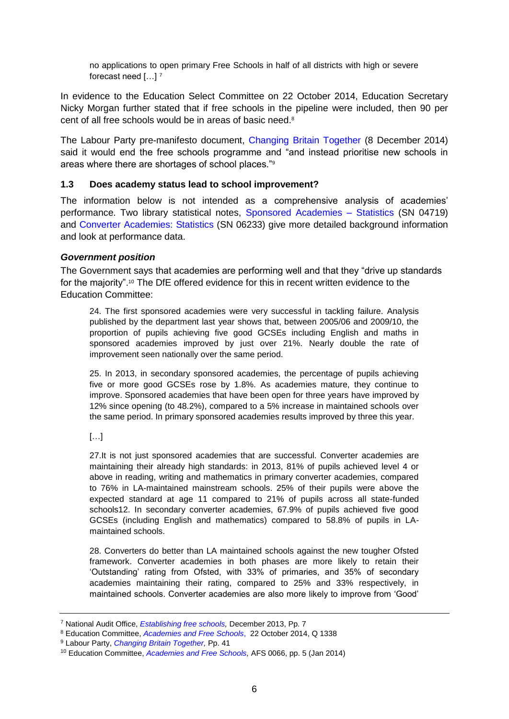no applications to open primary Free Schools in half of all districts with high or severe forecast need […] <sup>7</sup>

In evidence to the Education Select Committee on 22 October 2014, Education Secretary Nicky Morgan further stated that if free schools in the pipeline were included, then 90 per cent of all free schools would be in areas of basic need.<sup>8</sup>

The Labour Party pre-manifesto document, [Changing Britain Together](http://www.yourbritain.org.uk/agenda-2015/policy-review/policy-review) (8 December 2014) said it would end the free schools programme and "and instead prioritise new schools in areas where there are shortages of school places."<sup>9</sup>

### <span id="page-5-0"></span>**1.3 Does academy status lead to school improvement?**

The information below is not intended as a comprehensive analysis of academies' performance. Two library statistical notes, [Sponsored Academies –](http://www.parliament.uk/business/publications/research/briefing-papers/SN04719/sponsored-academies-statistics) Statistics (SN 04719) and [Converter Academies: Statistics](http://www.parliament.uk/briefing-papers/SN06233/converter-academies-statistics) (SN 06233) give more detailed background information and look at performance data.

### <span id="page-5-1"></span>*Government position*

The Government says that academies are performing well and that they "drive up standards for the majority".<sup>10</sup> The DfE offered evidence for this in recent written evidence to the Education Committee:

24. The first sponsored academies were very successful in tackling failure. Analysis published by the department last year shows that, between 2005/06 and 2009/10, the proportion of pupils achieving five good GCSEs including English and maths in sponsored academies improved by just over 21%. Nearly double the rate of improvement seen nationally over the same period.

25. In 2013, in secondary sponsored academies, the percentage of pupils achieving five or more good GCSEs rose by 1.8%. As academies mature, they continue to improve. Sponsored academies that have been open for three years have improved by 12% since opening (to 48.2%), compared to a 5% increase in maintained schools over the same period. In primary sponsored academies results improved by three this year.

### […]

27.It is not just sponsored academies that are successful. Converter academies are maintaining their already high standards: in 2013, 81% of pupils achieved level 4 or above in reading, writing and mathematics in primary converter academies, compared to 76% in LA-maintained mainstream schools. 25% of their pupils were above the expected standard at age 11 compared to 21% of pupils across all state-funded schools12. In secondary converter academies, 67.9% of pupils achieved five good GCSEs (including English and mathematics) compared to 58.8% of pupils in LAmaintained schools.

28. Converters do better than LA maintained schools against the new tougher Ofsted framework. Converter academies in both phases are more likely to retain their 'Outstanding' rating from Ofsted, with 33% of primaries, and 35% of secondary academies maintaining their rating, compared to 25% and 33% respectively, in maintained schools. Converter academies are also more likely to improve from 'Good'

<sup>7</sup> National Audit Office, *[Establishing free schools,](http://www.nao.org.uk/report/establishing-free-schools-2/)* December 2013, Pp. 7

<sup>8</sup> Education Committee, *[Academies and Free Schools](http://data.parliament.uk/writtenevidence/committeeevidence.svc/evidencedocument/education-committee/academies-and-free-schools/oral/14631.pdf)*, 22 October 2014, Q 1338

<sup>9</sup> Labour Party, *[Changing Britain Together,](http://www.yourbritain.org.uk/agenda-2015/policy-review/policy-review/changing-britain-together)* Pp. 41

<sup>10</sup> Education Committee, *[Academies and Free Schools,](http://data.parliament.uk/writtenevidence/committeeevidence.svc/evidencedocument/education-committee/academies-and-free-schools/written/4646.pdf)* AFS 0066, pp. 5 (Jan 2014)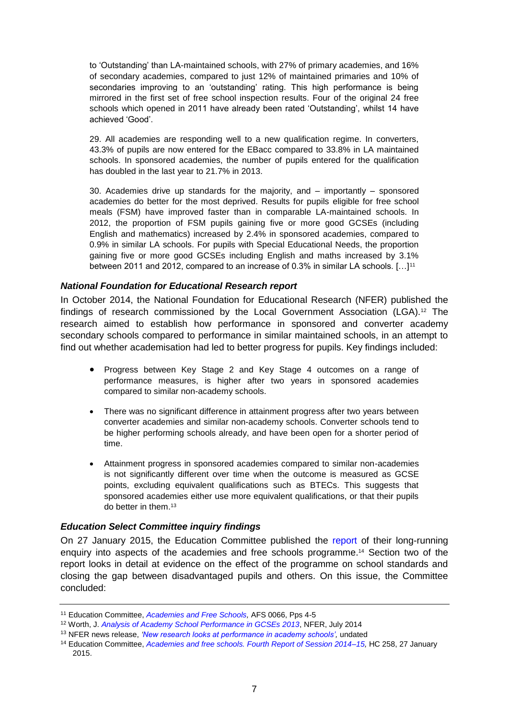to 'Outstanding' than LA-maintained schools, with 27% of primary academies, and 16% of secondary academies, compared to just 12% of maintained primaries and 10% of secondaries improving to an 'outstanding' rating. This high performance is being mirrored in the first set of free school inspection results. Four of the original 24 free schools which opened in 2011 have already been rated 'Outstanding', whilst 14 have achieved 'Good'.

29. All academies are responding well to a new qualification regime. In converters, 43.3% of pupils are now entered for the EBacc compared to 33.8% in LA maintained schools. In sponsored academies, the number of pupils entered for the qualification has doubled in the last year to 21.7% in 2013.

30. Academies drive up standards for the majority, and – importantly – sponsored academies do better for the most deprived. Results for pupils eligible for free school meals (FSM) have improved faster than in comparable LA-maintained schools. In 2012, the proportion of FSM pupils gaining five or more good GCSEs (including English and mathematics) increased by 2.4% in sponsored academies, compared to 0.9% in similar LA schools. For pupils with Special Educational Needs, the proportion gaining five or more good GCSEs including English and maths increased by 3.1% between 2011 and 2012, compared to an increase of 0.3% in similar LA schools. [...]<sup>11</sup>

### <span id="page-6-0"></span>*National Foundation for Educational Research report*

In October 2014, the National Foundation for Educational Research (NFER) published the findings of research commissioned by the Local Government Association (LGA).<sup>12</sup> The research aimed to establish how performance in sponsored and converter academy secondary schools compared to performance in similar maintained schools, in an attempt to find out whether academisation had led to better progress for pupils. Key findings included:

- Progress between Key Stage 2 and Key Stage 4 outcomes on a range of performance measures, is higher after two years in sponsored academies compared to similar non-academy schools.
- There was no significant difference in attainment progress after two years between converter academies and similar non-academy schools. Converter schools tend to be higher performing schools already, and have been open for a shorter period of time.
- Attainment progress in sponsored academies compared to similar non-academies is not significantly different over time when the outcome is measured as GCSE points, excluding equivalent qualifications such as BTECs. This suggests that sponsored academies either use more equivalent qualifications, or that their pupils do better in them.<sup>13</sup>

### <span id="page-6-1"></span>*Education Select Committee inquiry findings*

On 27 January 2015, the Education Committee published the [report](http://www.publications.parliament.uk/pa/cm201415/cmselect/cmeduc/258/258.pdf) of their long-running enquiry into aspects of the academies and free schools programme.<sup>14</sup> Section two of the report looks in detail at evidence on the effect of the programme on school standards and closing the gap between disadvantaged pupils and others. On this issue, the Committee concluded:

<sup>11</sup> Education Committee, *[Academies and Free Schools,](http://data.parliament.uk/writtenevidence/committeeevidence.svc/evidencedocument/education-committee/academies-and-free-schools/written/4646.pdf)* AFS 0066, Pps 4-5

<sup>12</sup> Worth, J. *[Analysis of Academy School Performance in GCSEs 2013](http://www.nfer.ac.uk/publications/LGGA02/LGGA02.pdf)*, NFER, July 2014

<sup>13</sup> NFER news release, *['New research looks at performance in academy schools',](http://www.nfer.ac.uk/about-nfer/media-and-events/en/new-research-looks-at-performance-in-academy-schools.cfm)* undated

<sup>&</sup>lt;sup>14</sup> Education Committee, *[Academies and free schools. Fourth Report of Session 2014–15,](http://www.publications.parliament.uk/pa/cm201415/cmselect/cmeduc/258/258.pdf)* HC 258, 27 January 2015.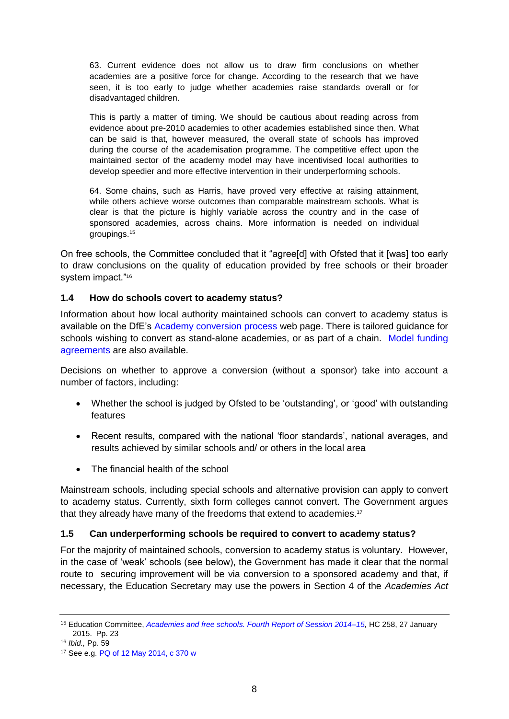63. Current evidence does not allow us to draw firm conclusions on whether academies are a positive force for change. According to the research that we have seen, it is too early to judge whether academies raise standards overall or for disadvantaged children.

This is partly a matter of timing. We should be cautious about reading across from evidence about pre-2010 academies to other academies established since then. What can be said is that, however measured, the overall state of schools has improved during the course of the academisation programme. The competitive effect upon the maintained sector of the academy model may have incentivised local authorities to develop speedier and more effective intervention in their underperforming schools.

64. Some chains, such as Harris, have proved very effective at raising attainment, while others achieve worse outcomes than comparable mainstream schools. What is clear is that the picture is highly variable across the country and in the case of sponsored academies, across chains. More information is needed on individual groupings.<sup>15</sup>

On free schools, the Committee concluded that it "agree[d] with Ofsted that it [was] too early to draw conclusions on the quality of education provided by free schools or their broader system impact."<sup>16</sup>

# <span id="page-7-0"></span>**1.4 How do schools covert to academy status?**

Information about how local authority maintained schools can convert to academy status is available on the DfE's [Academy conversion process](https://www.gov.uk/government/collections/academy-conversion-process) web page. There is tailored guidance for schools wishing to convert as stand-alone academies, or as part of a chain. [Model funding](https://www.gov.uk/government/collections/academy-conversion-process#model-funding-agreements)  [agreements](https://www.gov.uk/government/collections/academy-conversion-process#model-funding-agreements) are also available.

Decisions on whether to approve a conversion (without a sponsor) take into account a number of factors, including:

- Whether the school is judged by Ofsted to be 'outstanding', or 'good' with outstanding features
- Recent results, compared with the national 'floor standards', national averages, and results achieved by similar schools and/ or others in the local area
- The financial health of the school

Mainstream schools, including special schools and alternative provision can apply to convert to academy status. Currently, sixth form colleges cannot convert. The Government argues that they already have many of the freedoms that extend to academies.<sup>17</sup>

### <span id="page-7-1"></span>**1.5 Can underperforming schools be required to convert to academy status?**

For the majority of maintained schools, conversion to academy status is voluntary. However, in the case of 'weak' schools (see below), the Government has made it clear that the normal route to securing improvement will be via conversion to a sponsored academy and that, if necessary, the Education Secretary may use the powers in Section 4 of the *Academies Act* 

<sup>15</sup> Education Committee, *[Academies and free schools. Fourth Report of Session 2014–15,](http://www.publications.parliament.uk/pa/cm201415/cmselect/cmeduc/258/258.pdf)* HC 258, 27 January 2015. Pp. 23

<sup>16</sup> *Ibid.,* Pp. 59

<sup>17</sup> See e.g. [PQ of 12 May 2014, c 370 w](http://www.publications.parliament.uk/pa/cm201314/cmhansrd/cm140512/text/140512w0003.htm#14051310001397)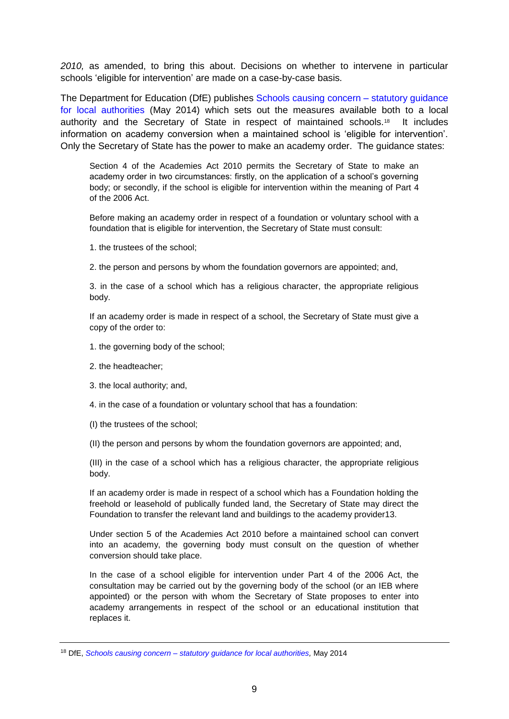*2010,* as amended, to bring this about. Decisions on whether to intervene in particular schools 'eligible for intervention' are made on a case-by-case basis.

The Department for Education (DfE) publishes [Schools causing concern –](https://www.gov.uk/government/uploads/system/uploads/attachment_data/file/306946/SCC_guidance_May2014_FINAL.pdf) statutory guidance [for local authorities](https://www.gov.uk/government/uploads/system/uploads/attachment_data/file/306946/SCC_guidance_May2014_FINAL.pdf) (May 2014) which sets out the measures available both to a local authority and the Secretary of State in respect of maintained schools.<sup>18</sup> It includes information on academy conversion when a maintained school is 'eligible for intervention'. Only the Secretary of State has the power to make an academy order. The guidance states:

Section 4 of the Academies Act 2010 permits the Secretary of State to make an academy order in two circumstances: firstly, on the application of a school's governing body; or secondly, if the school is eligible for intervention within the meaning of Part 4 of the 2006 Act.

Before making an academy order in respect of a foundation or voluntary school with a foundation that is eligible for intervention, the Secretary of State must consult:

1. the trustees of the school;

2. the person and persons by whom the foundation governors are appointed; and,

3. in the case of a school which has a religious character, the appropriate religious body.

If an academy order is made in respect of a school, the Secretary of State must give a copy of the order to:

1. the governing body of the school;

- 2. the headteacher;
- 3. the local authority; and,

4. in the case of a foundation or voluntary school that has a foundation:

(I) the trustees of the school;

(II) the person and persons by whom the foundation governors are appointed; and,

(III) in the case of a school which has a religious character, the appropriate religious body.

If an academy order is made in respect of a school which has a Foundation holding the freehold or leasehold of publically funded land, the Secretary of State may direct the Foundation to transfer the relevant land and buildings to the academy provider13.

Under section 5 of the Academies Act 2010 before a maintained school can convert into an academy, the governing body must consult on the question of whether conversion should take place.

In the case of a school eligible for intervention under Part 4 of the 2006 Act, the consultation may be carried out by the governing body of the school (or an IEB where appointed) or the person with whom the Secretary of State proposes to enter into academy arrangements in respect of the school or an educational institution that replaces it.

<sup>18</sup> DfE, *Schools causing concern – [statutory guidance for local authorities,](https://www.gov.uk/government/uploads/system/uploads/attachment_data/file/306946/SCC_guidance_May2014_FINAL.pdf)* May 2014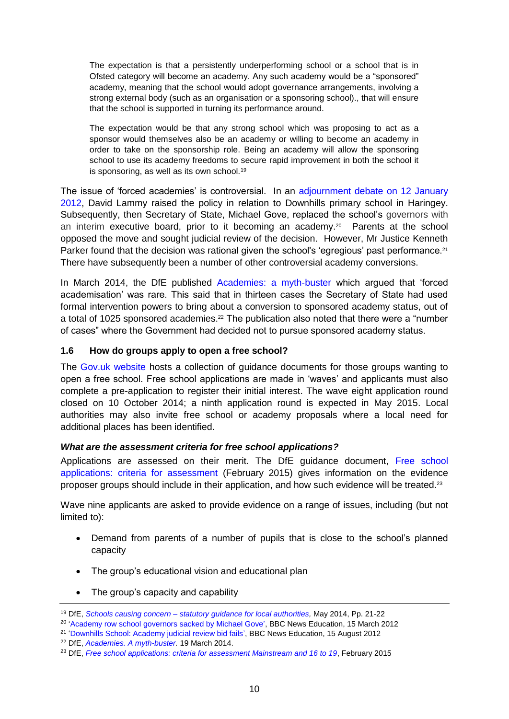The expectation is that a persistently underperforming school or a school that is in Ofsted category will become an academy. Any such academy would be a "sponsored" academy, meaning that the school would adopt governance arrangements, involving a strong external body (such as an organisation or a sponsoring school)., that will ensure that the school is supported in turning its performance around.

The expectation would be that any strong school which was proposing to act as a sponsor would themselves also be an academy or willing to become an academy in order to take on the sponsorship role. Being an academy will allow the sponsoring school to use its academy freedoms to secure rapid improvement in both the school it is sponsoring, as well as its own school.<sup>19</sup>

The issue of 'forced academies' is controversial. In an [adjournment debate on 12 January](http://www.publications.parliament.uk/pa/cm201212/cmhansrd/cm120112/debtext/120112-0004.htm#12011294000004)  [2012,](http://www.publications.parliament.uk/pa/cm201212/cmhansrd/cm120112/debtext/120112-0004.htm#12011294000004) David Lammy raised the policy in relation to Downhills primary school in Haringey. Subsequently, then Secretary of State, Michael Gove, replaced the school's governors with an interim executive board, prior to it becoming an academy.<sup>20</sup> Parents at the school opposed the move and sought judicial review of the decision. However, Mr Justice Kenneth Parker found that the decision was rational given the school's 'egregious' past performance.<sup>21</sup> There have subsequently been a number of other controversial academy conversions.

In March 2014, the DfE published [Academies: a myth-buster](https://www.gov.uk/government/publications/academies-a-myth-buster) which argued that 'forced academisation' was rare. This said that in thirteen cases the Secretary of State had used formal intervention powers to bring about a conversion to sponsored academy status, out of a total of 1025 sponsored academies.<sup>22</sup> The publication also noted that there were a "number of cases" where the Government had decided not to pursue sponsored academy status.

# <span id="page-9-0"></span>**1.6 How do groups apply to open a free school?**

The [Gov.uk website](https://www.gov.uk/government/collections/opening-a-free-school) hosts a collection of guidance documents for those groups wanting to open a free school. Free school applications are made in 'waves' and applicants must also complete a pre-application to register their initial interest. The wave eight application round closed on 10 October 2014; a ninth application round is expected in May 2015. Local authorities may also invite free school or academy proposals where a local need for additional places has been identified.

### <span id="page-9-1"></span>*What are the assessment criteria for free school applications?*

Applications are assessed on their merit. The DfE guidance document, [Free school](https://www.gov.uk/government/uploads/system/uploads/attachment_data/file/343538/free-school-applications-criteria-for-assessment-mainstream-and-16-to-19.pdf)  [applications: criteria for assessment](https://www.gov.uk/government/uploads/system/uploads/attachment_data/file/343538/free-school-applications-criteria-for-assessment-mainstream-and-16-to-19.pdf) (February 2015) gives information on the evidence proposer groups should include in their application, and how such evidence will be treated.<sup>23</sup>

Wave nine applicants are asked to provide evidence on a range of issues, including (but not limited to):

- Demand from parents of a number of pupils that is close to the school's planned capacity
- The group's educational vision and educational plan
- The group's capacity and capability

<sup>19</sup> DfE, *Schools causing concern – [statutory guidance for local authorities,](https://www.gov.uk/government/uploads/system/uploads/attachment_data/file/306946/SCC_guidance_May2014_FINAL.pdf)* May 2014, Pp. 21-22

<sup>&</sup>lt;sup>20</sup> ['Academy row school governors sacked by Michael Gove'](http://www.bbc.co.uk/news/education-17385311), BBC News Education, 15 March 2012

<sup>&</sup>lt;sup>21</sup> ['Downhills School: Academy judicial review bid fails',](http://www.bbc.co.uk/news/uk-england-london-19271143) BBC News Education, 15 August 2012

<sup>22</sup> DfE, *[Academies. A myth-buster.](https://www.gov.uk/government/uploads/system/uploads/attachment_data/file/294285/academies_mythbuster.pdf)* 19 March 2014.

<sup>&</sup>lt;sup>23</sup> DfE, *[Free school applications: criteria for assessment Mainstream and 16 to 19](https://www.gov.uk/government/uploads/system/uploads/attachment_data/file/343538/free-school-applications-criteria-for-assessment-mainstream-and-16-to-19.pdf)*, February 2015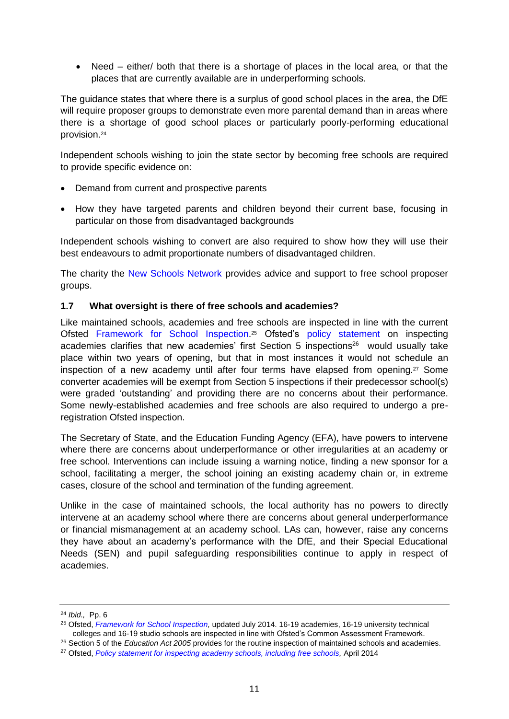• Need – either/ both that there is a shortage of places in the local area, or that the places that are currently available are in underperforming schools.

The guidance states that where there is a surplus of good school places in the area, the DfE will require proposer groups to demonstrate even more parental demand than in areas where there is a shortage of good school places or particularly poorly-performing educational provision.<sup>24</sup>

Independent schools wishing to join the state sector by becoming free schools are required to provide specific evidence on:

- Demand from current and prospective parents
- How they have targeted parents and children beyond their current base, focusing in particular on those from disadvantaged backgrounds

Independent schools wishing to convert are also required to show how they will use their best endeavours to admit proportionate numbers of disadvantaged children.

The charity the [New Schools Network](http://www.newschoolsnetwork.org/what-are-free-schools?gclid=CPW_9_ui0MECFcfMtAodb3kADQ) provides advice and support to free school proposer groups.

### <span id="page-10-0"></span>**1.7 What oversight is there of free schools and academies?**

Like maintained schools, academies and free schools are inspected in line with the current Ofsted [Framework for School Inspection.](https://www.gov.uk/government/publications/the-framework-for-school-inspection) <sup>25</sup> Ofsted's [policy statement](http://dera.ioe.ac.uk/19874/) on inspecting academies clarifies that new academies' first Section 5 inspections <sup>26</sup> would usually take place within two years of opening, but that in most instances it would not schedule an inspection of a new academy until after four terms have elapsed from opening. <sup>27</sup> Some converter academies will be exempt from Section 5 inspections if their predecessor school(s) were graded 'outstanding' and providing there are no concerns about their performance. Some newly-established academies and free schools are also required to undergo a preregistration Ofsted inspection.

The Secretary of State, and the Education Funding Agency (EFA), have powers to intervene where there are concerns about underperformance or other irregularities at an academy or free school. Interventions can include issuing a warning notice, finding a new sponsor for a school, facilitating a merger, the school joining an existing academy chain or, in extreme cases, closure of the school and termination of the funding agreement.

Unlike in the case of maintained schools, the local authority has no powers to directly intervene at an academy school where there are concerns about general underperformance or financial mismanagement at an academy school. LAs can, however, raise any concerns they have about an academy's performance with the DfE, and their Special Educational Needs (SEN) and pupil safeguarding responsibilities continue to apply in respect of academies.

<sup>24</sup> *Ibid.,* Pp. 6

<sup>&</sup>lt;sup>25</sup> Ofsted, *Framework for School Inspection*, updated July 2014. 16-19 academies, 16-19 university technical colleges and 16-19 studio schools are inspected in line with Ofsted's Common Assessment Framework.

<sup>26</sup> Section 5 of the *Education Act 2005* provides for the routine inspection of maintained schools and academies.

<sup>&</sup>lt;sup>27</sup> Ofsted, *[Policy statement for inspecting academy schools, including free schools,](https://www.gov.uk/government/uploads/system/uploads/attachment_data/file/393130/Policy_statement_for_inspecting_academy_schools_including_free_schools.pdf) April 2014*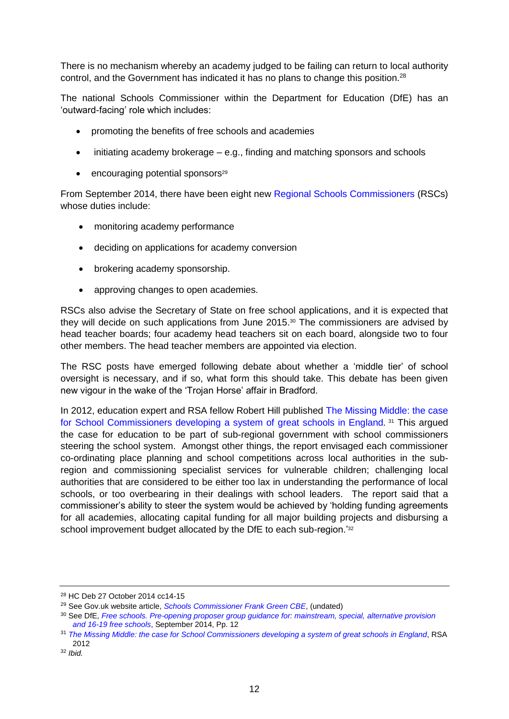There is no mechanism whereby an academy judged to be failing can return to local authority control, and the Government has indicated it has no plans to change this position.<sup>28</sup>

The [national Schools Commissioner](https://www.gov.uk/government/people/frank-green#current-roles) within the Department for Education (DfE) has an 'outward-facing' role which includes:

- promoting the benefits of free schools and academies
- initiating academy brokerage e.g., finding and matching sponsors and schools
- $\bullet$  encouraging potential sponsors<sup>29</sup>

From September 2014, there have been eight new [Regional Schools Commissioners](https://www.gov.uk/government/policies/increasing-the-number-of-academies-and-free-schools-to-create-a-better-and-more-diverse-school-system/supporting-pages/regional-schools-commissioners-rscs) (RSCs) whose duties include:

- monitoring academy performance
- deciding on applications for academy conversion
- brokering academy sponsorship.
- approving changes to open academies.

RSCs also advise the Secretary of State on free school applications, and it is expected that they will decide on such applications from June 2015. <sup>30</sup> The commissioners are advised by head teacher boards; four academy head teachers sit on each board, alongside two to four other members. The head teacher members are appointed via election.

The RSC posts have emerged following debate about whether a 'middle tier' of school oversight is necessary, and if so, what form this should take. This debate has been given new vigour in the wake of the 'Trojan Horse' affair in Bradford.

In 2012, education expert and RSA fellow Robert Hill published [The Missing Middle: the case](http://www.thersa.org/__data/assets/pdf_file/0017/630053/RSA-The_Missing_Middle_report_2012.pdf)  [for School Commissioners developing a system of great schools in England](http://www.thersa.org/__data/assets/pdf_file/0017/630053/RSA-The_Missing_Middle_report_2012.pdf)*.* <sup>31</sup> This argued the case for education to be part of sub-regional government with school commissioners steering the school system. Amongst other things, the report envisaged each commissioner co-ordinating place planning and school competitions across local authorities in the subregion and commissioning specialist services for vulnerable children; challenging local authorities that are considered to be either too lax in understanding the performance of local schools, or too overbearing in their dealings with school leaders. The report said that a commissioner's ability to steer the system would be achieved by 'holding funding agreements for all academies, allocating capital funding for all major building projects and disbursing a school improvement budget allocated by the DfE to each sub-region.<sup>'32</sup>

<sup>28</sup> HC Deb 27 October 2014 cc14-15

<sup>29</sup> See Gov.uk website article, *[Schools Commissioner Frank Green CBE](https://www.gov.uk/government/people/frank-green#current-roles)*, (undated)

<sup>30</sup> See DfE, *[Free schools. Pre-opening proposer group guidance for: mainstream, special,](https://www.gov.uk/government/uploads/system/uploads/attachment_data/file/359646/free-school-combined-proposer-guide-sept-14.pdf) alternative provision [and 16-19 free schools](https://www.gov.uk/government/uploads/system/uploads/attachment_data/file/359646/free-school-combined-proposer-guide-sept-14.pdf)*, September 2014, Pp. 12

<sup>31</sup> *[The Missing Middle: the case for School Commissioners developing a system of great schools in England](http://www.thersa.org/__data/assets/pdf_file/0017/630053/RSA-The_Missing_Middle_report_2012.pdf)*, RSA 2012

<sup>32</sup> *Ibid.*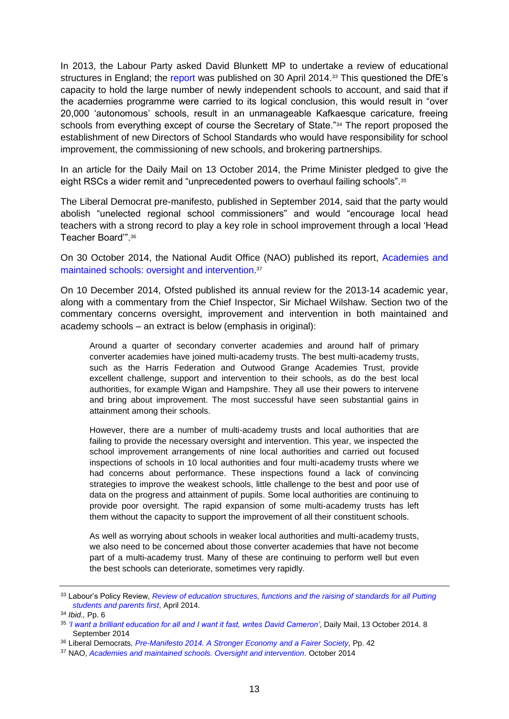In 2013, the Labour Party asked David Blunkett MP to undertake a review of educational structures in England; the [report](http://www.yourbritain.org.uk/uploads/editor/files/130514_Report_FINAL.pdf) was published on 30 April 2014.<sup>33</sup> This questioned the DfE's capacity to hold the large number of newly independent schools to account, and said that if the academies programme were carried to its logical conclusion, this would result in "over 20,000 'autonomous' schools, result in an unmanageable Kafkaesque caricature, freeing schools from everything except of course the Secretary of State."<sup>34</sup> The report proposed the establishment of new Directors of School Standards who would have responsibility for school improvement, the commissioning of new schools, and brokering partnerships.

In an article for the Daily Mail on 13 October 2014, the Prime Minister pledged to give the eight RSCs a wider remit and "unprecedented powers to overhaul failing schools".<sup>35</sup>

The Liberal Democrat pre-manifesto, published in September 2014, said that the party would abolish "unelected regional school commissioners" and would "encourage local head teachers with a strong record to play a key role in school improvement through a local 'Head Teacher Board'".<sup>36</sup>

On 30 October 2014, the National Audit Office (NAO) published its report, [Academies and](http://www.nao.org.uk/wp-content/uploads/2014/10/Academies-and-maintained-schools-Oversight-and-intervention.pdf)  [maintained schools: oversight and intervention.](http://www.nao.org.uk/wp-content/uploads/2014/10/Academies-and-maintained-schools-Oversight-and-intervention.pdf) 37

On 10 December 2014, Ofsted published its annual review for the 2013-14 academic year, along with a commentary from the Chief Inspector, Sir Michael Wilshaw. Section two of the commentary concerns oversight, improvement and intervention in both maintained and academy schools – an extract is below (emphasis in original):

Around a quarter of secondary converter academies and around half of primary converter academies have joined multi-academy trusts. The best multi-academy trusts, such as the Harris Federation and Outwood Grange Academies Trust, provide excellent challenge, support and intervention to their schools, as do the best local authorities, for example Wigan and Hampshire. They all use their powers to intervene and bring about improvement. The most successful have seen substantial gains in attainment among their schools.

However, there are a number of multi-academy trusts and local authorities that are failing to provide the necessary oversight and intervention. This year, we inspected the school improvement arrangements of nine local authorities and carried out focused inspections of schools in 10 local authorities and four multi-academy trusts where we had concerns about performance. These inspections found a lack of convincing strategies to improve the weakest schools, little challenge to the best and poor use of data on the progress and attainment of pupils. Some local authorities are continuing to provide poor oversight. The rapid expansion of some multi-academy trusts has left them without the capacity to support the improvement of all their constituent schools.

As well as worrying about schools in weaker local authorities and multi-academy trusts, we also need to be concerned about those converter academies that have not become part of a multi-academy trust. Many of these are continuing to perform well but even the best schools can deteriorate, sometimes very rapidly.

<sup>33</sup> Labour's Policy Review, *[Review of education structures, functions and the raising of standards for all Putting](http://www.yourbritain.org.uk/uploads/editor/files/130514_Report_FINAL.pdf)  [students and parents first](http://www.yourbritain.org.uk/uploads/editor/files/130514_Report_FINAL.pdf)*, April 2014.

<sup>34</sup> *Ibid.,* Pp. 6

<sup>35</sup> *['I want a brilliant education for all and I want it fast, writes David Cameron'](http://www.dailymail.co.uk/news/article-2790386/i-want-brilliant-education-want-fast-writes-david-cameron.html)*, Daily Mail, 13 October 2014. 8 September 2014

<sup>36</sup> Liberal Democrats*[, Pre-Manifesto 2014. A Stronger Economy](https://d3n8a8pro7vhmx.cloudfront.net/libdems/pages/6272/attachments/original/1409941645/Pre-Manifesto_3_Sep_2014.pdf?1409941645) and a Fairer Society,* Pp. 42

<sup>&</sup>lt;sup>37</sup> NAO, *[Academies and maintained schools. Oversight and intervention.](http://www.nao.org.uk/wp-content/uploads/2014/10/Academies-and-maintained-schools-Oversight-and-intervention.pdf)* October 2014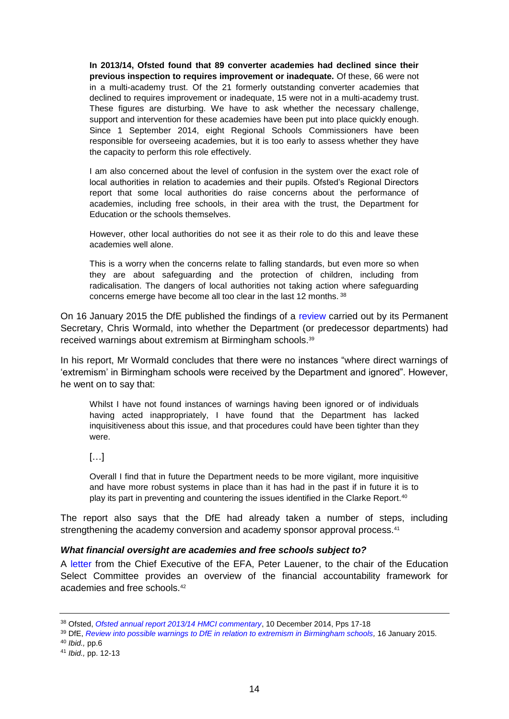**In 2013/14, Ofsted found that 89 converter academies had declined since their previous inspection to requires improvement or inadequate.** Of these, 66 were not in a multi-academy trust. Of the 21 formerly outstanding converter academies that declined to requires improvement or inadequate, 15 were not in a multi-academy trust. These figures are disturbing. We have to ask whether the necessary challenge, support and intervention for these academies have been put into place quickly enough. Since 1 September 2014, eight Regional Schools Commissioners have been responsible for overseeing academies, but it is too early to assess whether they have the capacity to perform this role effectively.

I am also concerned about the level of confusion in the system over the exact role of local authorities in relation to academies and their pupils. Ofsted's Regional Directors report that some local authorities do raise concerns about the performance of academies, including free schools, in their area with the trust, the Department for Education or the schools themselves.

However, other local authorities do not see it as their role to do this and leave these academies well alone.

This is a worry when the concerns relate to falling standards, but even more so when they are about safeguarding and the protection of children, including from radicalisation. The dangers of local authorities not taking action where safeguarding concerns emerge have become all too clear in the last 12 months. <sup>38</sup>

On 16 January 2015 the DfE published the findings of a [review](https://www.gov.uk/government/news/review-possible-warnings-about-extremism-in-birmingham-schools) carried out by its Permanent Secretary, Chris Wormald, into whether the Department (or predecessor departments) had received warnings about extremism at Birmingham schools.<sup>39</sup>

In his report, Mr Wormald concludes that there were no instances "where direct warnings of 'extremism' in Birmingham schools were received by the Department and ignored". However, he went on to say that:

Whilst I have not found instances of warnings having been ignored or of individuals having acted inappropriately, I have found that the Department has lacked inquisitiveness about this issue, and that procedures could have been tighter than they were.

 $[...]$ 

Overall I find that in future the Department needs to be more vigilant, more inquisitive and have more robust systems in place than it has had in the past if in future it is to play its part in preventing and countering the issues identified in the Clarke Report.<sup>40</sup>

The report also says that the DfE had already taken a number of steps, including strengthening the academy conversion and academy sponsor approval process.<sup>41</sup>

### <span id="page-13-0"></span>*What financial oversight are academies and free schools subject to?*

A [letter](http://www.parliament.uk/documents/commons-committees/Education/Letter-to-Chair-14October2014.pdf) from the Chief Executive of the EFA, Peter Lauener, to the chair of the Education Select Committee provides an overview of the financial accountability framework for academies and free schools.<sup>42</sup>

<sup>38</sup> Ofsted, *[Ofsted annual report 2013/14 HMCI commentary](https://www.gov.uk/government/publications/ofsted-annual-report-201314-commentary)*, 10 December 2014, Pps 17-18

<sup>39</sup> DfE, *[Review into possible warnings to DfE in relation to extremism in Birmingham schools,](https://www.gov.uk/government/uploads/system/uploads/attachment_data/file/396211/Review_into_possible_warnings_to_DfE_relating_to_extremism_in_Birmingham_schools.pdf)* 16 January 2015.

<sup>40</sup> *Ibid.,* pp.6

<sup>41</sup> *Ibid.,* pp. 12-13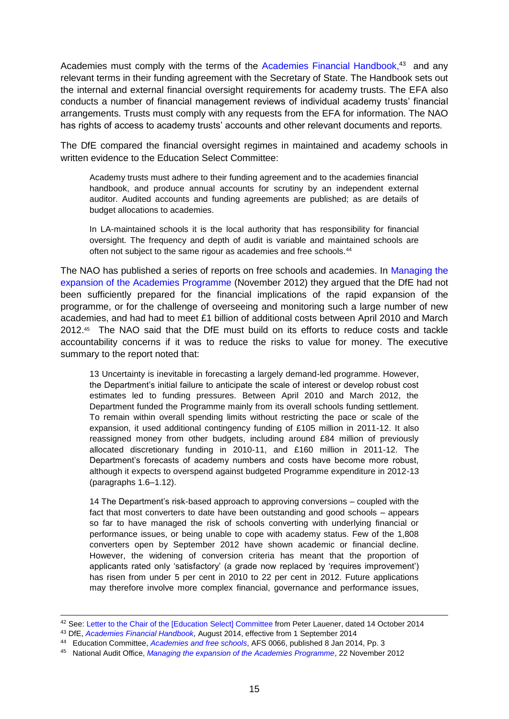Academies must comply with the terms of the [Academies Financial Handbook,](https://www.gov.uk/government/uploads/system/uploads/attachment_data/file/363753/Academies_Financial_Handbook2014.pdf)<sup>43</sup> and any relevant terms in their funding agreement with the Secretary of State. The Handbook sets out the internal and external financial oversight requirements for academy trusts. The EFA also conducts a number of financial management reviews of individual academy trusts' financial arrangements. Trusts must comply with any requests from the EFA for information. The NAO has rights of access to academy trusts' accounts and other relevant documents and reports.

The DfE compared the financial oversight regimes in maintained and academy schools in written evidence to the Education Select Committee:

Academy trusts must adhere to their funding agreement and to the academies financial handbook, and produce annual accounts for scrutiny by an independent external auditor. Audited accounts and funding agreements are published; as are details of budget allocations to academies.

In LA-maintained schools it is the local authority that has responsibility for financial oversight. The frequency and depth of audit is variable and maintained schools are often not subject to the same rigour as academies and free schools.<sup>44</sup>

The NAO has published a series of reports on free schools and academies. In [Managing the](http://www.nao.org.uk/wp-content/uploads/2013/03/010013-001-Academies-programme_with-correction-slip.pdf)  [expansion of the Academies Programme](http://www.nao.org.uk/wp-content/uploads/2013/03/010013-001-Academies-programme_with-correction-slip.pdf) (November 2012) they argued that the DfE had not been sufficiently prepared for the financial implications of the rapid expansion of the programme, or for the challenge of overseeing and monitoring such a large number of new academies, and had had to meet £1 billion of additional costs between April 2010 and March 2012.<sup>45</sup> The NAO said that the DfE must build on its efforts to reduce costs and tackle accountability concerns if it was to reduce the risks to value for money. The executive summary to the report noted that:

13 Uncertainty is inevitable in forecasting a largely demand-led programme. However, the Department's initial failure to anticipate the scale of interest or develop robust cost estimates led to funding pressures. Between April 2010 and March 2012, the Department funded the Programme mainly from its overall schools funding settlement. To remain within overall spending limits without restricting the pace or scale of the expansion, it used additional contingency funding of £105 million in 2011-12. It also reassigned money from other budgets, including around £84 million of previously allocated discretionary funding in 2010-11, and £160 million in 2011-12. The Department's forecasts of academy numbers and costs have become more robust, although it expects to overspend against budgeted Programme expenditure in 2012-13 (paragraphs 1.6–1.12).

14 The Department's risk-based approach to approving conversions – coupled with the fact that most converters to date have been outstanding and good schools – appears so far to have managed the risk of schools converting with underlying financial or performance issues, or being unable to cope with academy status. Few of the 1,808 converters open by September 2012 have shown academic or financial decline. However, the widening of conversion criteria has meant that the proportion of applicants rated only 'satisfactory' (a grade now replaced by 'requires improvement') has risen from under 5 per cent in 2010 to 22 per cent in 2012. Future applications may therefore involve more complex financial, governance and performance issues,

 $\overline{a}$ 

<sup>42</sup> See: [Letter to the Chair of the \[Education](http://www.parliament.uk/documents/commons-committees/Education/Letter-to-Chair-14October2014.pdf) Select] Committee from Peter Lauener, dated 14 October 2014

<sup>43</sup> DfE, *[Academies Financial Handbook,](https://www.gov.uk/government/uploads/system/uploads/attachment_data/file/363753/Academies_Financial_Handbook2014.pdf)* August 2014, effective from 1 September 2014

<sup>44</sup> Education Committee, *[Academies and free schools](http://www.parliament.uk/business/committees/committees-a-z/commons-select/education-committee/inquiries/parliament-2010/academies-and-free-schools/?type=Written#pnlPublicationFilter)*, AFS 0066, published 8 Jan 2014, Pp. 3

<sup>45</sup> National Audit Office, *[Managing the expansion of the Academies Programme](http://www.nao.org.uk/wp-content/uploads/2013/03/010013-001-Academies-programme_with-correction-slip.pdf)*, 22 November 2012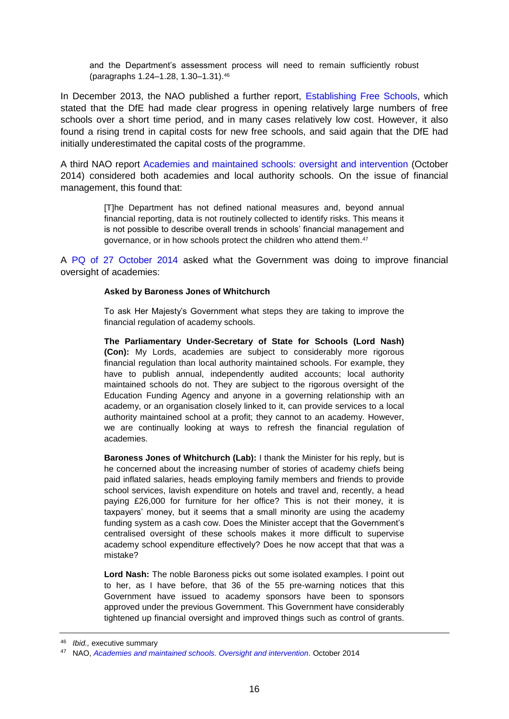and the Department's assessment process will need to remain sufficiently robust (paragraphs 1.24–1.28, 1.30–1.31).<sup>46</sup>

In December 2013, the NAO published a further report, [Establishing Free Schools,](http://www.nao.org.uk/wp-content/uploads/2013/12/10314-001-Free-Schools-Book-Copy.pdf) which stated that the DfE had made clear progress in opening relatively large numbers of free schools over a short time period, and in many cases relatively low cost. However, it also found a rising trend in capital costs for new free schools, and said again that the DfE had initially underestimated the capital costs of the programme.

A third NAO report [Academies and maintained schools: oversight and intervention](http://www.nao.org.uk/wp-content/uploads/2014/10/Academies-and-maintained-schools-Oversight-and-intervention.pdf) (October 2014) considered both academies and local authority schools. On the issue of financial management, this found that:

> [T]he Department has not defined national measures and, beyond annual financial reporting, data is not routinely collected to identify risks. This means it is not possible to describe overall trends in schools' financial management and governance, or in how schools protect the children who attend them.<sup>47</sup>

A [PQ of 27 October 2014](http://www.publications.parliament.uk/pa/ld201415/ldhansrd/text/141027-0001.htm#14102714000004) asked what the Government was doing to improve financial oversight of academies:

### **Asked by Baroness Jones of Whitchurch**

To ask Her Majesty's Government what steps they are taking to improve the financial regulation of academy schools.

**The Parliamentary Under-Secretary of State for Schools (Lord Nash) (Con):** My Lords, academies are subject to considerably more rigorous financial regulation than local authority maintained schools. For example, they have to publish annual, independently audited accounts; local authority maintained schools do not. They are subject to the rigorous oversight of the Education Funding Agency and anyone in a governing relationship with an academy, or an organisation closely linked to it, can provide services to a local authority maintained school at a profit; they cannot to an academy. However, we are continually looking at ways to refresh the financial regulation of academies.

**Baroness Jones of Whitchurch (Lab):** I thank the Minister for his reply, but is he concerned about the increasing number of stories of academy chiefs being paid inflated salaries, heads employing family members and friends to provide school services, lavish expenditure on hotels and travel and, recently, a head paying £26,000 for furniture for her office? This is not their money, it is taxpayers' money, but it seems that a small minority are using the academy funding system as a cash cow. Does the Minister accept that the Government's centralised oversight of these schools makes it more difficult to supervise academy school expenditure effectively? Does he now accept that that was a mistake?

**Lord Nash:** The noble Baroness picks out some isolated examples. I point out to her, as I have before, that 36 of the 55 pre-warning notices that this Government have issued to academy sponsors have been to sponsors approved under the previous Government. This Government have considerably tightened up financial oversight and improved things such as control of grants.

<sup>46</sup> *Ibid.,* executive summary

<sup>47</sup> NAO, *[Academies and maintained schools. Oversight and intervention.](http://www.nao.org.uk/wp-content/uploads/2014/10/Academies-and-maintained-schools-Oversight-and-intervention.pdf)* October 2014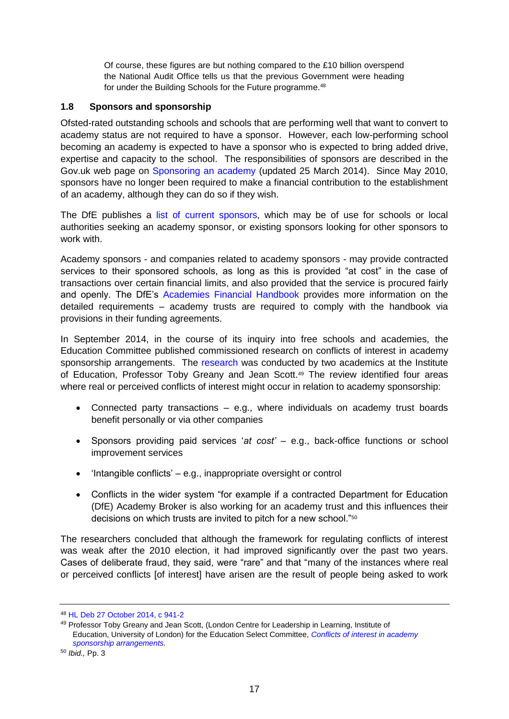Of course, these figures are but nothing compared to the £10 billion overspend the National Audit Office tells us that the previous Government were heading for under the Building Schools for the Future programme.<sup>48</sup>

### <span id="page-16-0"></span>**1.8 Sponsors and sponsorship**

Ofsted-rated outstanding schools and schools that are performing well that want to convert to academy status are not required to have a sponsor. However, each low-performing school becoming an academy is expected to have a sponsor who is expected to bring added drive, expertise and capacity to the school. The responsibilities of sponsors are described in the Gov.uk web page on [Sponsoring an academy](https://www.gov.uk/sponsor-an-academy) (updated 25 March 2014). Since May 2010, sponsors have no longer been required to make a financial contribution to the establishment of an academy, although they can do so if they wish.

The DfE publishes a list [of current sponsors,](https://www.gov.uk/government/collections/academy-sponsorship) which may be of use for schools or local authorities seeking an academy sponsor, or existing sponsors looking for other sponsors to work with.

Academy sponsors - and companies related to academy sponsors - may provide contracted services to their sponsored schools, as long as this is provided "at cost" in the case of transactions over certain financial limits, and also provided that the service is procured fairly and openly. The DfE's [Academies Financial Handbook](https://www.gov.uk/government/uploads/system/uploads/attachment_data/file/363753/Academies_Financial_Handbook2014.pdf) provides more information on the detailed requirements – academy trusts are required to comply with the handbook via provisions in their funding agreements.

In September 2014, in the course of its inquiry into free schools and academies, the Education Committee published commissioned research on conflicts of interest in academy sponsorship arrangements. The [research](http://www.parliament.uk/documents/commons-committees/Education/Conflicts-of-interest-in-academies-report.pdf) was conducted by two academics at the Institute of Education, Professor Toby Greany and Jean Scott.<sup>49</sup> The review identified four areas where real or perceived conflicts of interest might occur in relation to academy sponsorship:

- Connected party transactions e.g., where individuals on academy trust boards benefit personally or via other companies
- Sponsors providing paid services '*at cost'* e.g., back-office functions or school improvement services
- $\bullet$  'Intangible conflicts' e.g., inappropriate oversight or control
- Conflicts in the wider system "for example if a contracted Department for Education (DfE) Academy Broker is also working for an academy trust and this influences their decisions on which trusts are invited to pitch for a new school."<sup>50</sup>

The researchers concluded that although the framework for regulating conflicts of interest was weak after the 2010 election, it had improved significantly over the past two years. Cases of deliberate fraud, they said, were "rare" and that "many of the instances where real or perceived conflicts [of interest] have arisen are the result of people being asked to work

<sup>48</sup> [HL Deb 27 October 2014, c 941-2](http://www.publications.parliament.uk/pa/ld201415/ldhansrd/text/141027-0001.htm#14102714000004)

<sup>49</sup> Professor Toby Greany and Jean Scott, (London Centre for Leadership in Learning, Institute of Education, University of London) for the Education Select Committee, *[Conflicts of interest in academy](http://www.parliament.uk/documents/commons-committees/Education/Conflicts-of-interest-in-academies-report.pdf)  [sponsorship arrangements.](http://www.parliament.uk/documents/commons-committees/Education/Conflicts-of-interest-in-academies-report.pdf)*

<sup>50</sup> *Ibid.,* Pp. 3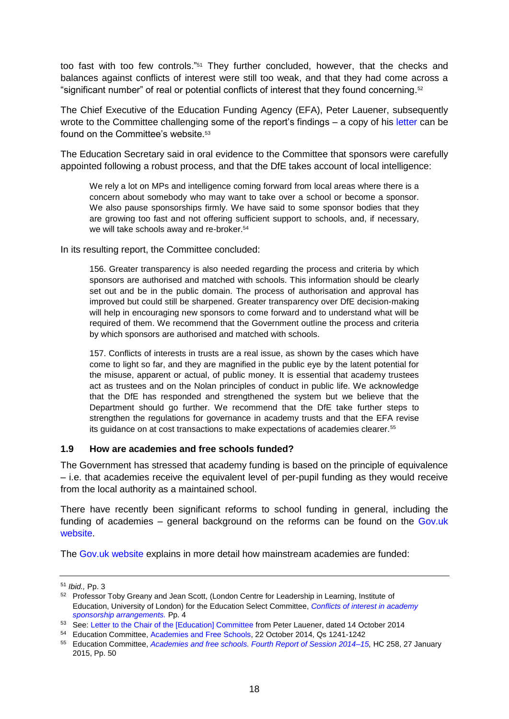too fast with too few controls."<sup>51</sup> They further concluded, however, that the checks and balances against conflicts of interest were still too weak, and that they had come across a "significant number" of real or potential conflicts of interest that they found concerning.<sup>52</sup>

The Chief Executive of the Education Funding Agency (EFA), Peter Lauener, subsequently wrote to the Committee challenging some of the report's findings – a copy of his [letter](http://www.parliament.uk/documents/commons-committees/Education/Letter-to-Chair-14October2014.pdf) can be found on the Committee's website.<sup>53</sup>

The Education Secretary said in oral evidence to the Committee that sponsors were carefully appointed following a robust process, and that the DfE takes account of local intelligence:

We rely a lot on MPs and intelligence coming forward from local areas where there is a concern about somebody who may want to take over a school or become a sponsor. We also pause sponsorships firmly. We have said to some sponsor bodies that they are growing too fast and not offering sufficient support to schools, and, if necessary, we will take schools away and re-broker.<sup>54</sup>

In its resulting report, the Committee concluded:

156. Greater transparency is also needed regarding the process and criteria by which sponsors are authorised and matched with schools. This information should be clearly set out and be in the public domain. The process of authorisation and approval has improved but could still be sharpened. Greater transparency over DfE decision-making will help in encouraging new sponsors to come forward and to understand what will be required of them. We recommend that the Government outline the process and criteria by which sponsors are authorised and matched with schools.

157. Conflicts of interests in trusts are a real issue, as shown by the cases which have come to light so far, and they are magnified in the public eye by the latent potential for the misuse, apparent or actual, of public money. It is essential that academy trustees act as trustees and on the Nolan principles of conduct in public life. We acknowledge that the DfE has responded and strengthened the system but we believe that the Department should go further. We recommend that the DfE take further steps to strengthen the regulations for governance in academy trusts and that the EFA revise its guidance on at cost transactions to make expectations of academies clearer.<sup>55</sup>

### <span id="page-17-0"></span>**1.9 How are academies and free schools funded?**

The Government has stressed that academy funding is based on the principle of equivalence – i.e. that academies receive the equivalent level of per-pupil funding as they would receive from the local authority as a maintained school.

There have recently been significant reforms to school funding in general, including the funding of academies – general background on the reforms can be found on the [Gov.uk](https://www.gov.uk/government/policies/making-schools-and-colleges-more-accountable-and-giving-them-more-control-over-their-budget)  [website.](https://www.gov.uk/government/policies/making-schools-and-colleges-more-accountable-and-giving-them-more-control-over-their-budget)

The [Gov.uk website](https://www.gov.uk/academy-funding-information-for-school-leaders) explains in more detail how mainstream academies are funded:

<sup>51</sup> *Ibid.,* Pp. 3

<sup>&</sup>lt;sup>52</sup> Professor Toby Greany and Jean Scott, (London Centre for Leadership in Learning, Institute of Education, University of London) for the Education Select Committee, *[Conflicts of interest in academy](http://www.parliament.uk/documents/commons-committees/Education/Conflicts-of-interest-in-academies-report.pdf)  [sponsorship arrangements.](http://www.parliament.uk/documents/commons-committees/Education/Conflicts-of-interest-in-academies-report.pdf)* Pp. 4

<sup>53</sup> See: [Letter to the Chair of the \[Education\] Committee](http://www.parliament.uk/documents/commons-committees/Education/Letter-to-Chair-14October2014.pdf) from Peter Lauener, dated 14 October 2014

<sup>54</sup> Education Committee, [Academies and Free Schools,](http://data.parliament.uk/writtenevidence/committeeevidence.svc/evidencedocument/education-committee/academies-and-free-schools/oral/14631.pdf) 22 October 2014, Qs 1241-1242

<sup>55</sup> Education Committee, *[Academies and free schools. Fourth Report of Session 2014–15,](http://www.publications.parliament.uk/pa/cm201415/cmselect/cmeduc/258/258.pdf.com)* HC 258, 27 January 2015, Pp. 50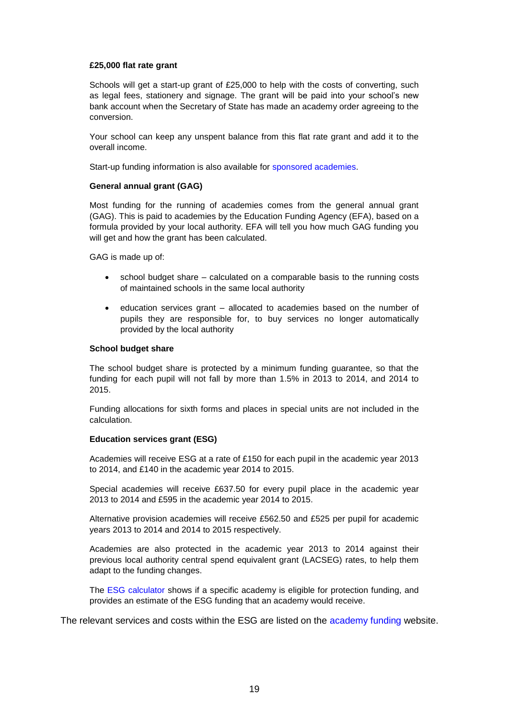#### **£25,000 flat rate grant**

Schools will get a start-up grant of £25,000 to help with the costs of converting, such as legal fees, stationery and signage. The grant will be paid into your school's new bank account when the Secretary of State has made an academy order agreeing to the conversion.

Your school can keep any unspent balance from this flat rate grant and add it to the overall income.

Start-up funding information is also available for [sponsored academies.](https://www.gov.uk/sponsor-an-academy)

#### **General annual grant (GAG)**

Most funding for the running of academies comes from the general annual grant (GAG). This is paid to academies by the Education Funding Agency (EFA), based on a formula provided by your local authority. EFA will tell you how much GAG funding you will get and how the grant has been calculated.

GAG is made up of:

- school budget share calculated on a comparable basis to the running costs of maintained schools in the same local authority
- education services grant allocated to academies based on the number of pupils they are responsible for, to buy services no longer automatically provided by the local authority

#### **School budget share**

The school budget share is protected by a minimum funding guarantee, so that the funding for each pupil will not fall by more than 1.5% in 2013 to 2014, and 2014 to 2015.

Funding allocations for sixth forms and places in special units are not included in the calculation.

#### **Education services grant (ESG)**

Academies will receive ESG at a rate of £150 for each pupil in the academic year 2013 to 2014, and £140 in the academic year 2014 to 2015.

Special academies will receive £637.50 for every pupil place in the academic year 2013 to 2014 and £595 in the academic year 2014 to 2015.

Alternative provision academies will receive £562.50 and £525 per pupil for academic years 2013 to 2014 and 2014 to 2015 respectively.

Academies are also protected in the academic year 2013 to 2014 against their previous local authority central spend equivalent grant (LACSEG) rates, to help them adapt to the funding changes.

The [ESG calculator](https://www.gov.uk/government/publications/education-services-grant) shows if a specific academy is eligible for protection funding, and provides an estimate of the ESG funding that an academy would receive.

The relevant services and costs within the ESG are listed on the [academy funding](https://www.gov.uk/academy-funding-information-for-school-leaders) website.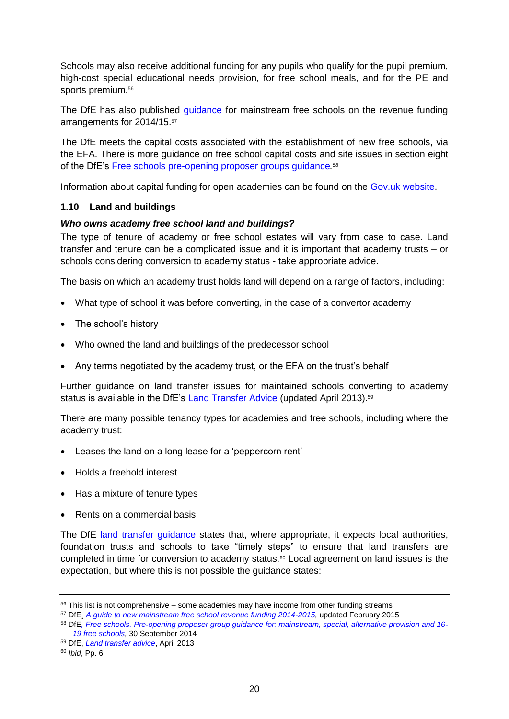Schools may also receive additional funding for any pupils who qualify for the pupil premium, high-cost special educational needs provision, for free school meals, and for the PE and sports premium.<sup>56</sup>

The DfE has also published quidance for mainstream free schools on the revenue funding arrangements for 2014/15. 57

The DfE meets the capital costs associated with the establishment of new free schools, via the EFA. There is more guidance on free school capital costs and site issues in section eight of the DfE's [Free schools pre-opening proposer groups guidance](https://www.gov.uk/government/uploads/system/uploads/attachment_data/file/359646/free-school-combined-proposer-guide-sept-14.pdf)*. 58*

Information about capital funding for open academies can be found on the [Gov.uk website.](https://www.gov.uk/government/collections/academies-funding-payments-and-compliance)

### <span id="page-19-0"></span>**1.10 Land and buildings**

### <span id="page-19-1"></span>*Who owns academy free school land and buildings?*

The type of tenure of academy or free school estates will vary from case to case. Land transfer and tenure can be a complicated issue and it is important that academy trusts – or schools considering conversion to academy status - take appropriate advice.

The basis on which an academy trust holds land will depend on a range of factors, including:

- What type of school it was before converting, in the case of a convertor academy
- The school's history
- Who owned the land and buildings of the predecessor school
- Any terms negotiated by the academy trust, or the EFA on the trust's behalf

Further guidance on land transfer issues for maintained schools converting to academy status is available in the DfE's [Land Transfer Advice](https://www.gov.uk/government/publications/academy-land-transfer-advice) (updated April 2013).<sup>59</sup>

There are many possible tenancy types for academies and free schools, including where the academy trust:

- Leases the land on a long lease for a 'peppercorn rent'
- Holds a freehold interest
- Has a mixture of tenure types
- Rents on a commercial basis

The DfE [land transfer guidance](https://www.gov.uk/government/publications/academy-land-transfer-advice) states that, where appropriate, it expects local authorities, foundation trusts and schools to take "timely steps" to ensure that land transfers are completed in time for conversion to academy status.<sup>60</sup> Local agreement on land issues is the expectation, but where this is not possible the guidance states:

 $56$  This list is not comprehensive – some academies may have income from other funding streams

<sup>57</sup> DfE¸ *[A guide to new mainstream free school revenue funding 2014-2015,](https://www.gov.uk/government/uploads/system/uploads/attachment_data/file/337367/Mainstream_free_school_revenue_funding.pdf)* updated February 2015

<sup>58</sup> DfE*[, Free schools. Pre-opening proposer group guidance for: mainstream, special, alternative provision and 16-](https://www.gov.uk/government/publications/free-school-pre-opening-guide) [19 free schools,](https://www.gov.uk/government/publications/free-school-pre-opening-guide)* 30 September 2014

<sup>59</sup> DfE, *[Land transfer advice](https://www.gov.uk/government/uploads/system/uploads/attachment_data/file/254887/land_transfer_advice_april_2013.pdf)*, April 2013

<sup>60</sup> *Ibid*, Pp. 6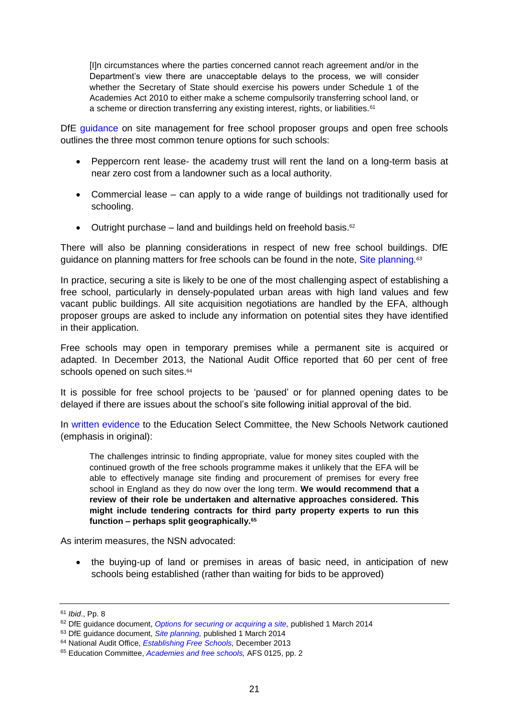[I]n circumstances where the parties concerned cannot reach agreement and/or in the Department's view there are unacceptable delays to the process, we will consider whether the Secretary of State should exercise his powers under Schedule 1 of the Academies Act 2010 to either make a scheme compulsorily transferring school land, or a scheme or direction transferring any existing interest, rights, or liabilities.<sup>61</sup>

DfE [guidance](https://www.gov.uk/government/publications/free-schools-site-management) on site management for free school proposer groups and open free schools outlines the three most common tenure options for such schools:

- Peppercorn rent lease- the academy trust will rent the land on a long-term basis at near zero cost from a landowner such as a local authority.
- Commercial lease can apply to a wide range of buildings not traditionally used for schooling.
- Outright purchase land and buildings held on freehold basis.<sup>62</sup>

There will also be planning considerations in respect of new free school buildings. DfE guidance on planning matters for free schools can be found in the note, [Site planning](https://www.gov.uk/government/uploads/system/uploads/attachment_data/file/276774/para_7-20_site_planning.pdf)*. 63*

In practice, securing a site is likely to be one of the most challenging aspect of establishing a free school, particularly in densely-populated urban areas with high land values and few vacant public buildings. All site acquisition negotiations are handled by the EFA, although proposer groups are asked to include any information on potential sites they have identified in their application.

Free schools may open in temporary premises while a permanent site is acquired or adapted. In December 2013, the National Audit Office reported that 60 per cent of free schools opened on such sites.<sup>64</sup>

It is possible for free school projects to be 'paused' or for planned opening dates to be delayed if there are issues about the school's site following initial approval of the bid.

In [written evidence](http://data.parliament.uk/writtenevidence/committeeevidence.svc/evidencedocument/education-committee/academies-and-free-schools/written/10123.pdf) to the Education Select Committee, the New Schools Network cautioned (emphasis in original):

The challenges intrinsic to finding appropriate, value for money sites coupled with the continued growth of the free schools programme makes it unlikely that the EFA will be able to effectively manage site finding and procurement of premises for every free school in England as they do now over the long term. **We would recommend that a review of their role be undertaken and alternative approaches considered. This might include tendering contracts for third party property experts to run this function – perhaps split geographically.<sup>65</sup>**

As interim measures, the NSN advocated:

• the buying-up of land or premises in areas of basic need, in anticipation of new schools being established (rather than waiting for bids to be approved)

<sup>61</sup> *Ibid*., Pp. 8

<sup>&</sup>lt;sup>62</sup> DfE guidance document, *Options for securing or acquiring a site*, published 1 March 2014

<sup>&</sup>lt;sup>63</sup> DfE guidance document, *Site planning*, published 1 March 2014

<sup>64</sup> National Audit Office, *[Establishing Free Schools,](http://www.nao.org.uk/report/establishing-free-schools-2/)* December 2013

<sup>65</sup> Education Committee, *[Academies and free schools,](http://data.parliament.uk/writtenevidence/committeeevidence.svc/evidencedocument/education-committee/academies-and-free-schools/written/10123.pdf)* AFS 0125, pp. 2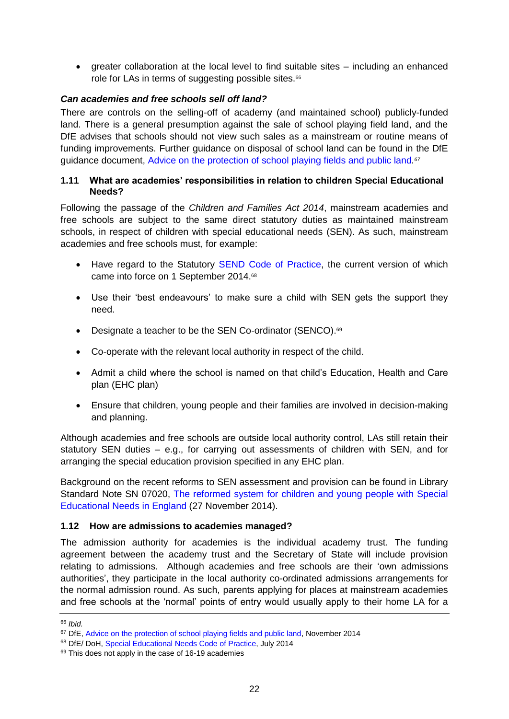greater collaboration at the local level to find suitable sites – including an enhanced role for LAs in terms of suggesting possible sites.<sup>66</sup>

# <span id="page-21-0"></span>*Can academies and free schools sell off land?*

There are controls on the selling-off of academy (and maintained school) publicly-funded land. There is a general presumption against the sale of school playing field land, and the DfE advises that schools should not view such sales as a mainstream or routine means of funding improvements. Further guidance on disposal of school land can be found in the DfE guidance document, [Advice on the protection of school playing fields and public land](https://www.gov.uk/government/publications/protection-of-school-playing-fields-and-public-land-advice)*. 67*

### <span id="page-21-1"></span>**1.11 What are academies' responsibilities in relation to children Special Educational Needs?**

Following the passage of the *Children and Families Act 2014*, mainstream academies and free schools are subject to the same direct statutory duties as maintained mainstream schools, in respect of children with special educational needs (SEN). As such, mainstream academies and free schools must, for example:

- Have regard to the Statutory [SEND Code of Practice,](https://www.gov.uk/government/publications/send-code-of-practice-0-to-25) the current version of which came into force on 1 September 2014.<sup>68</sup>
- Use their 'best endeavours' to make sure a child with SEN gets the support they need.
- Designate a teacher to be the SEN Co-ordinator (SENCO).<sup>69</sup>
- Co-operate with the relevant local authority in respect of the child.
- Admit a child where the school is named on that child's Education, Health and Care plan (EHC plan)
- Ensure that children, young people and their families are involved in decision-making and planning.

Although academies and free schools are outside local authority control, LAs still retain their statutory SEN duties – e.g., for carrying out assessments of children with SEN, and for arranging the special education provision specified in any EHC plan.

Background on the recent reforms to SEN assessment and provision can be found in Library Standard Note SN 07020, [The reformed system for children and young people with Special](http://www.parliament.uk/briefing-papers/SN07020/the-reformed-system-for-children-and-young-people-with-special-educational-needs-in-england)  [Educational Needs in England](http://www.parliament.uk/briefing-papers/SN07020/the-reformed-system-for-children-and-young-people-with-special-educational-needs-in-england) (27 November 2014).

# <span id="page-21-2"></span>**1.12 How are admissions to academies managed?**

The admission authority for academies is the individual academy trust. The funding agreement between the academy trust and the Secretary of State will include provision relating to admissions. Although academies and free schools are their 'own admissions authorities', they participate in the local authority co-ordinated admissions arrangements for the normal admission round. As such, parents applying for places at mainstream academies and free schools at the 'normal' points of entry would usually apply to their home LA for a

<sup>66</sup> *Ibid.*

<sup>&</sup>lt;sup>67</sup> DfE, [Advice on the protection of school playing fields and public land,](https://www.gov.uk/government/uploads/system/uploads/attachment_data/file/371709/advice_on_the_protection_of_school_playing_fields_and_public_land_november_2014.pdf) November 2014

<sup>68</sup> DfE/ DoH, [Special Educational Needs Code of Practice,](https://www.gov.uk/government/uploads/system/uploads/attachment_data/file/342440/SEND_Code_of_Practice_approved_by_Parliament_29.07.14.pdf) July 2014

 $69$  This does not apply in the case of 16-19 academies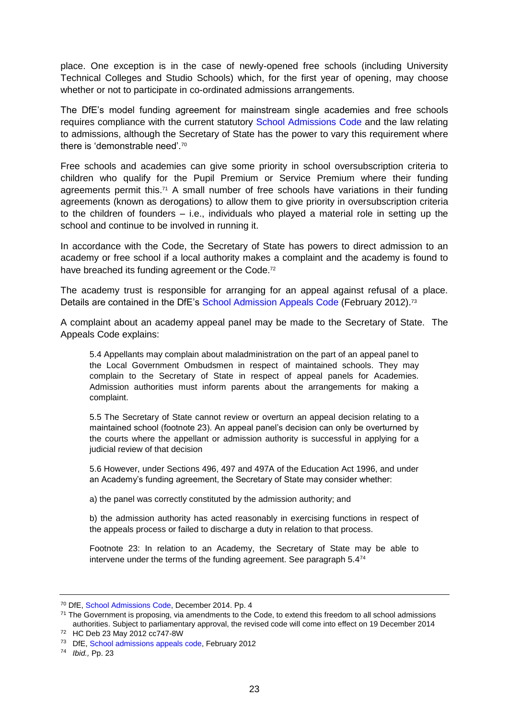place. One exception is in the case of newly-opened free schools (including University Technical Colleges and Studio Schools) which, for the first year of opening, may choose whether or not to participate in co-ordinated admissions arrangements.

The DfE's model funding agreement for mainstream single academies and free schools requires compliance with the current statutory [School Admissions Code](https://www.gov.uk/government/publications/school-admissions-code--2) and the law relating to admissions, although the Secretary of State has the power to vary this requirement where there is 'demonstrable need'.<sup>70</sup>

Free schools and academies can give some priority in school oversubscription criteria to children who qualify for the Pupil Premium or Service Premium where their funding agreements permit this. <sup>71</sup> A small number of free schools have variations in their funding agreements (known as derogations) to allow them to give priority in oversubscription criteria to the children of founders – i.e., individuals who played a material role in setting up the school and continue to be involved in running it.

In accordance with the Code, the Secretary of State has powers to direct admission to an academy or free school if a local authority makes a complaint and the academy is found to have breached its funding agreement or the Code.<sup>72</sup>

The academy trust is responsible for arranging for an appeal against refusal of a place. Details are contained in the DfE's [School Admission Appeals Code](https://www.gov.uk/government/publications/school-admissions-appeals-code) (February 2012).<sup>73</sup>

A complaint about an academy appeal panel may be made to the Secretary of State. The Appeals Code explains:

5.4 Appellants may complain about maladministration on the part of an appeal panel to the Local Government Ombudsmen in respect of maintained schools. They may complain to the Secretary of State in respect of appeal panels for Academies. Admission authorities must inform parents about the arrangements for making a complaint.

5.5 The Secretary of State cannot review or overturn an appeal decision relating to a maintained school (footnote 23). An appeal panel's decision can only be overturned by the courts where the appellant or admission authority is successful in applying for a judicial review of that decision

5.6 However, under Sections 496, 497 and 497A of the Education Act 1996, and under an Academy's funding agreement, the Secretary of State may consider whether:

a) the panel was correctly constituted by the admission authority; and

b) the admission authority has acted reasonably in exercising functions in respect of the appeals process or failed to discharge a duty in relation to that process.

Footnote 23: In relation to an Academy, the Secretary of State may be able to intervene under the terms of the funding agreement. See paragraph 5.474

<sup>70</sup> DfE, [School Admissions Code,](https://www.gov.uk/government/uploads/system/uploads/attachment_data/file/389388/School_Admissions_Code_2014_-_19_Dec.pdf) December 2014. Pp. 4

 $71$  The Government is proposing, via amendments to the Code, to extend this freedom to all school admissions authorities. Subject to parliamentary approval, the revised code will come into effect on 19 December 2014

<sup>72</sup> HC Deb 23 May 2012 cc747-8W

<sup>73</sup> DfE, [School admissions appeals code,](https://www.gov.uk/government/publications/school-admissions-appeals-code) February 2012

<sup>74</sup> *Ibid.,* Pp. 23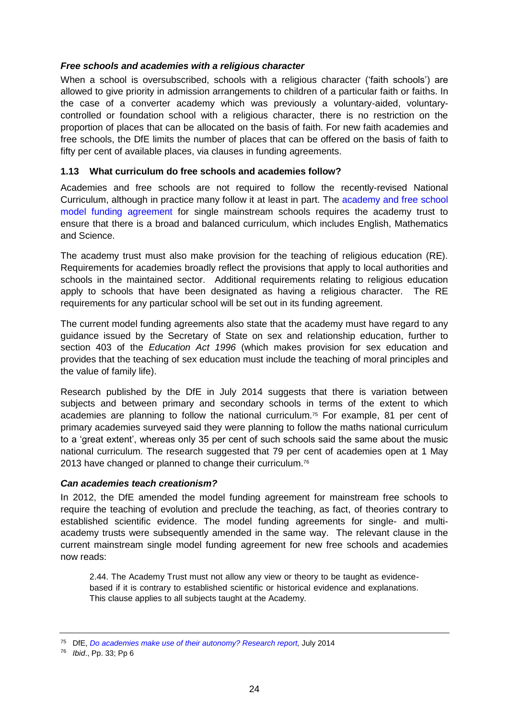### <span id="page-23-0"></span>*Free schools and academies with a religious character*

When a school is oversubscribed, schools with a religious character ('faith schools') are allowed to give priority in admission arrangements to children of a particular faith or faiths. In the case of a converter academy which was previously a voluntary-aided, voluntarycontrolled or foundation school with a religious character, there is no restriction on the proportion of places that can be allocated on the basis of faith. For new faith academies and free schools, the DfE limits the number of places that can be offered on the basis of faith to fifty per cent of available places, via clauses in funding agreements.

# <span id="page-23-1"></span>**1.13 What curriculum do free schools and academies follow?**

Academies and free schools are not required to follow the recently-revised National Curriculum, although in practice many follow it at least in part. The [academy and free school](https://www.gov.uk/government/uploads/system/uploads/attachment_data/file/326402/201407v3_Single_FA_mainstream_published.pdf)  [model funding agreement](https://www.gov.uk/government/uploads/system/uploads/attachment_data/file/326402/201407v3_Single_FA_mainstream_published.pdf) for single mainstream schools requires the academy trust to ensure that there is a broad and balanced curriculum, which includes English, Mathematics and Science.

The academy trust must also make provision for the teaching of religious education (RE). Requirements for academies broadly reflect the provisions that apply to local authorities and schools in the maintained sector. Additional requirements relating to religious education apply to schools that have been designated as having a religious character. The RE requirements for any particular school will be set out in its funding agreement.

The current model funding agreements also state that the academy must have regard to any guidance issued by the Secretary of State on sex and relationship education, further to section 403 of the *Education Act 1996* (which makes provision for sex education and provides that the teaching of sex education must include the teaching of moral principles and the value of family life).

Research published by the DfE in July 2014 suggests that there is variation between subjects and between primary and secondary schools in terms of the extent to which academies are planning to follow the national curriculum.<sup>75</sup> For example, 81 per cent of primary academies surveyed said they were planning to follow the maths national curriculum to a 'great extent', whereas only 35 per cent of such schools said the same about the music national curriculum. The research suggested that 79 per cent of academies open at 1 May 2013 have changed or planned to change their curriculum.<sup>76</sup>

### <span id="page-23-2"></span>*Can academies teach creationism?*

In 2012, the DfE amended the model funding agreement for mainstream free schools to require the teaching of evolution and preclude the teaching, as fact, of theories contrary to established scientific evidence. The model funding agreements for single- and multiacademy trusts were subsequently amended in the same way. The relevant clause in the current mainstream single model funding agreement for new free schools and academies now reads:

2.44. The Academy Trust must not allow any view or theory to be taught as evidencebased if it is contrary to established scientific or historical evidence and explanations. This clause applies to all subjects taught at the Academy.

<sup>75</sup> DfE, *Do academies make use of [their autonomy? Research report,](https://www.gov.uk/government/uploads/system/uploads/attachment_data/file/326163/RR366_-_research_report_academy_autonomy_Final.pdf)* July 2014

<sup>76</sup> *Ibid*., Pp. 33; Pp 6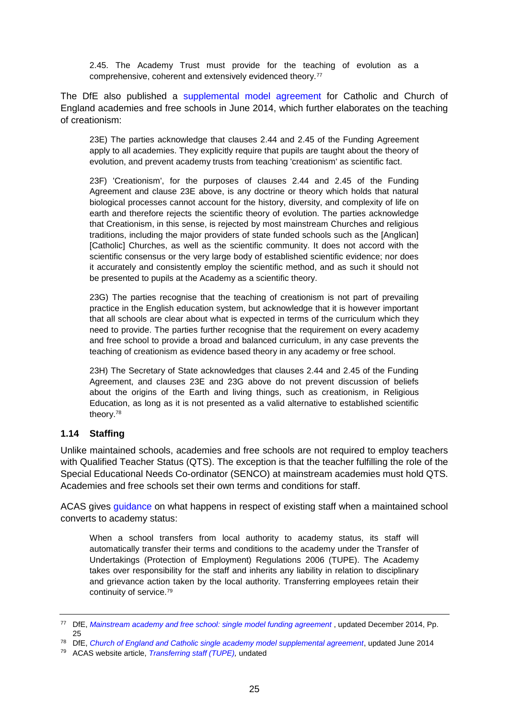2.45. The Academy Trust must provide for the teaching of evolution as a comprehensive, coherent and extensively evidenced theory.<sup>77</sup>

The DfE also published a [supplemental model agreement](https://www.gov.uk/government/publications/church-academies-model-documents#history) for Catholic and Church of England academies and free schools in June 2014, which further elaborates on the teaching of creationism:

23E) The parties acknowledge that clauses 2.44 and 2.45 of the Funding Agreement apply to all academies. They explicitly require that pupils are taught about the theory of evolution, and prevent academy trusts from teaching 'creationism' as scientific fact.

23F) 'Creationism', for the purposes of clauses 2.44 and 2.45 of the Funding Agreement and clause 23E above, is any doctrine or theory which holds that natural biological processes cannot account for the history, diversity, and complexity of life on earth and therefore rejects the scientific theory of evolution. The parties acknowledge that Creationism, in this sense, is rejected by most mainstream Churches and religious traditions, including the major providers of state funded schools such as the [Anglican] [Catholic] Churches, as well as the scientific community. It does not accord with the scientific consensus or the very large body of established scientific evidence; nor does it accurately and consistently employ the scientific method, and as such it should not be presented to pupils at the Academy as a scientific theory.

23G) The parties recognise that the teaching of creationism is not part of prevailing practice in the English education system, but acknowledge that it is however important that all schools are clear about what is expected in terms of the curriculum which they need to provide. The parties further recognise that the requirement on every academy and free school to provide a broad and balanced curriculum, in any case prevents the teaching of creationism as evidence based theory in any academy or free school.

23H) The Secretary of State acknowledges that clauses 2.44 and 2.45 of the Funding Agreement, and clauses 23E and 23G above do not prevent discussion of beliefs about the origins of the Earth and living things, such as creationism, in Religious Education, as long as it is not presented as a valid alternative to established scientific theory.<sup>78</sup>

### <span id="page-24-0"></span>**1.14 Staffing**

Unlike maintained schools, academies and free schools are not required to employ teachers with Qualified Teacher Status (QTS). The exception is that the teacher fulfilling the role of the Special Educational Needs Co-ordinator (SENCO) at mainstream academies must hold QTS. Academies and free schools set their own terms and conditions for staff.

ACAS gives [guidance](http://www.acas.org.uk/index.aspx?articleid=3796) on what happens in respect of existing staff when a maintained school converts to academy status:

When a school transfers from local authority to academy status, its staff will automatically transfer their terms and conditions to the academy under the Transfer of Undertakings (Protection of Employment) Regulations 2006 (TUPE). The Academy takes over responsibility for the staff and inherits any liability in relation to disciplinary and grievance action taken by the local authority. Transferring employees retain their continuity of service.<sup>79</sup>

<sup>77</sup> DfE, *[Mainstream academy and free school: single model funding agreement](https://www.gov.uk/government/uploads/system/uploads/attachment_data/file/326402/201407v3_Single_FA_mainstream_published.pdf)* , updated December 2014, Pp. 25

<sup>78</sup> DfE, *[Church of England and Catholic single academy model supplemental agreement](https://www.gov.uk/government/publications/church-academies-model-documents#history)*, updated June 2014

<sup>79</sup> ACAS website article, *[Transferring staff \(TUPE\),](http://www.acas.org.uk/index.aspx?articleid=3796)* undated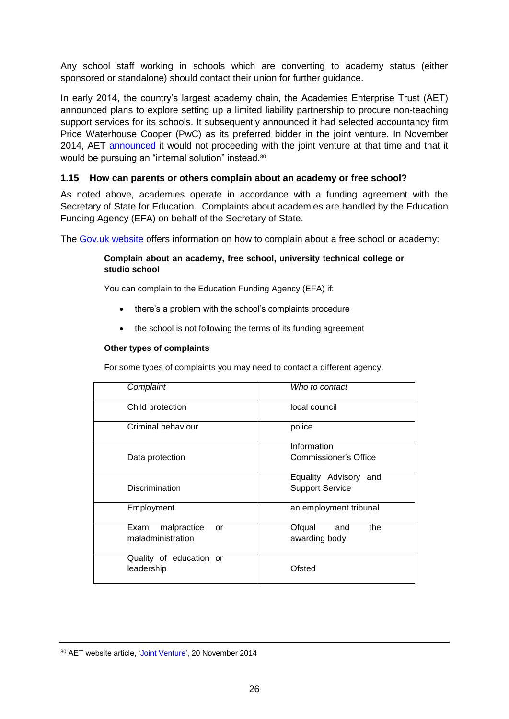Any school staff working in schools which are converting to academy status (either sponsored or standalone) should contact their union for further guidance.

In early 2014, the country's largest academy chain, the Academies Enterprise Trust (AET) announced plans to explore setting up a limited liability partnership to procure non-teaching support services for its schools. It subsequently announced it had selected accountancy firm Price Waterhouse Cooper (PwC) as its preferred bidder in the joint venture. In November 2014, AET [announced](https://sites.google.com/a/aetinet.org/academies-enterprise-trust/news) it would not proceeding with the joint venture at that time and that it would be pursuing an "internal solution" instead.<sup>80</sup>

### <span id="page-25-0"></span>**1.15 How can parents or others complain about an academy or free school?**

As noted above, academies operate in accordance with a funding agreement with the Secretary of State for Education. Complaints about academies are handled by the Education Funding Agency (EFA) on behalf of the Secretary of State.

The [Gov.uk website](https://www.gov.uk/complain-about-school) offers information on how to complain about a free school or academy:

### **Complain about an academy, free school, university technical college or studio school**

You can [complain](https://www.education.gov.uk/schools/leadership/schoolperformance/school-complaints-form) to the Education Funding Agency (EFA) if:

- there's a problem with the school's complaints procedure
- the school is not following the terms of its funding agreement

### **Other types of complaints**

For some types of complaints you may need to contact a different agency.

| Complaint                 | Who to contact         |
|---------------------------|------------------------|
| Child protection          | local council          |
| Criminal behaviour        | police                 |
|                           | Information            |
| Data protection           | Commissioner's Office  |
|                           | Equality Advisory and  |
| Discrimination            | <b>Support Service</b> |
| Employment                | an employment tribunal |
| malpractice<br>Exam<br>or | Ofqual<br>the<br>and   |
| maladministration         | awarding body          |
| Quality of education or   |                        |
| leadership                | Ofsted                 |

<sup>80</sup> AET website article, ['Joint Venture'](https://sites.google.com/a/aetinet.org/academies-enterprise-trust/news), 20 November 2014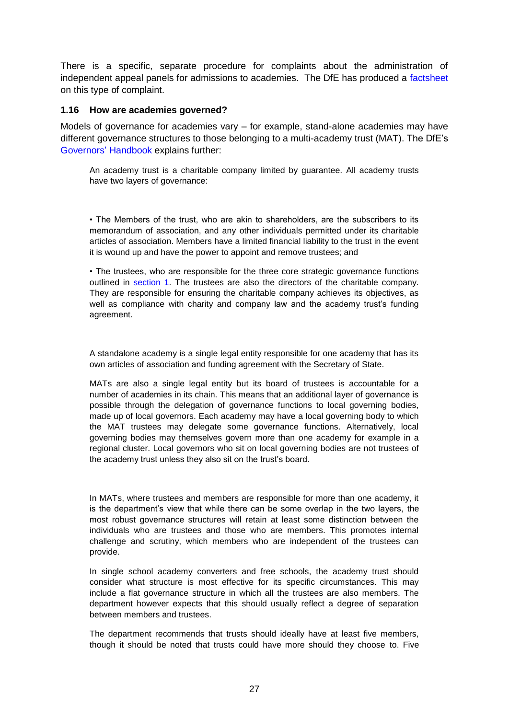There is a specific, separate procedure for complaints about the administration of independent appeal panels for admissions to academies. The DfE has produced a [factsheet](https://www.gov.uk/government/uploads/system/uploads/attachment_data/file/293017/Academy_independent_admission_appeal_panel_complaints_factsheet_0314.pdf) on this type of complaint.

### <span id="page-26-0"></span>**1.16 How are academies governed?**

Models of governance for academies vary – for example, stand-alone academies may have different governance structures to those belonging to a multi-academy trust (MAT). The DfE's [Governors'](https://www.gov.uk/government/uploads/system/uploads/attachment_data/file/352752/Governors_Handbook_2014.pdf) Handbook explains further:

An academy trust is a charitable company limited by guarantee. All academy trusts have two layers of governance:

• The Members of the trust, who are akin to shareholders, are the subscribers to its memorandum of association, and any other individuals permitted under its charitable articles of association. Members have a limited financial liability to the trust in the event it is wound up and have the power to appoint and remove trustees; and

• The trustees, who are responsible for the three core strategic governance functions outlined in section 1. The trustees are also the directors of the charitable company. They are responsible for ensuring the charitable company achieves its objectives, as well as compliance with charity and company law and the academy trust's funding agreement.

A standalone academy is a single legal entity responsible for one academy that has its own articles of association and funding agreement with the Secretary of State.

MATs are also a single legal entity but its board of trustees is accountable for a number of academies in its chain. This means that an additional layer of governance is possible through the delegation of governance functions to local governing bodies, made up of local governors. Each academy may have a local governing body to which the MAT trustees may delegate some governance functions. Alternatively, local governing bodies may themselves govern more than one academy for example in a regional cluster. Local governors who sit on local governing bodies are not trustees of the academy trust unless they also sit on the trust's board.

In MATs, where trustees and members are responsible for more than one academy, it is the department's view that while there can be some overlap in the two layers, the most robust governance structures will retain at least some distinction between the individuals who are trustees and those who are members. This promotes internal challenge and scrutiny, which members who are independent of the trustees can provide.

In single school academy converters and free schools, the academy trust should consider what structure is most effective for its specific circumstances. This may include a flat governance structure in which all the trustees are also members. The department however expects that this should usually reflect a degree of separation between members and trustees.

The department recommends that trusts should ideally have at least five members, though it should be noted that trusts could have more should they choose to. Five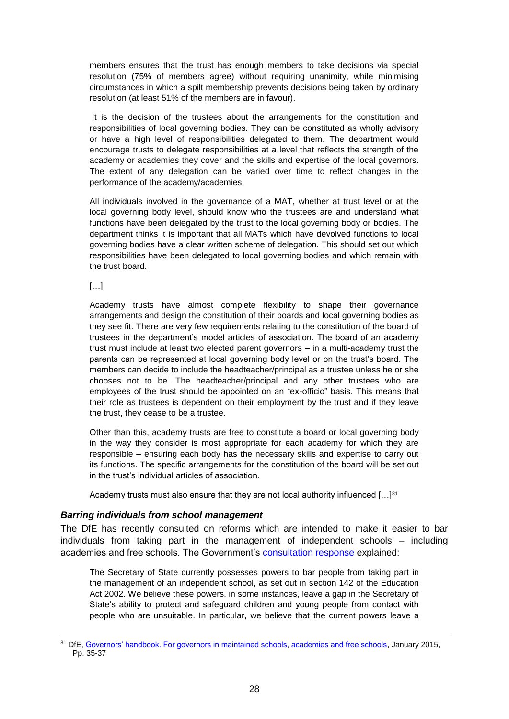members ensures that the trust has enough members to take decisions via special resolution (75% of members agree) without requiring unanimity, while minimising circumstances in which a spilt membership prevents decisions being taken by ordinary resolution (at least 51% of the members are in favour).

It is the decision of the trustees about the arrangements for the constitution and responsibilities of local governing bodies. They can be constituted as wholly advisory or have a high level of responsibilities delegated to them. The department would encourage trusts to delegate responsibilities at a level that reflects the strength of the academy or academies they cover and the skills and expertise of the local governors. The extent of any delegation can be varied over time to reflect changes in the performance of the academy/academies.

All individuals involved in the governance of a MAT, whether at trust level or at the local governing body level, should know who the trustees are and understand what functions have been delegated by the trust to the local governing body or bodies. The department thinks it is important that all MATs which have devolved functions to local governing bodies have a clear written scheme of delegation. This should set out which responsibilities have been delegated to local governing bodies and which remain with the trust board.

[…]

Academy trusts have almost complete flexibility to shape their governance arrangements and design the constitution of their boards and local governing bodies as they see fit. There are very few requirements relating to the constitution of the board of trustees in the department's model articles of association. The board of an academy trust must include at least two elected parent governors – in a multi-academy trust the parents can be represented at local governing body level or on the trust's board. The members can decide to include the headteacher/principal as a trustee unless he or she chooses not to be. The headteacher/principal and any other trustees who are employees of the trust should be appointed on an "ex-officio" basis. This means that their role as trustees is dependent on their employment by the trust and if they leave the trust, they cease to be a trustee.

Other than this, academy trusts are free to constitute a board or local governing body in the way they consider is most appropriate for each academy for which they are responsible – ensuring each body has the necessary skills and expertise to carry out its functions. The specific arrangements for the constitution of the board will be set out in the trust's individual articles of association.

Academy trusts must also ensure that they are not local authority influenced  $[...]<sup>81</sup>$ 

### <span id="page-27-0"></span>*Barring individuals from school management*

The DfE has recently consulted on reforms which are intended to make it easier to bar individuals from taking part in the management of independent schools – including academies and free schools. The Government's [consultation response](https://www.gov.uk/government/uploads/system/uploads/attachment_data/file/335425/Barring-Response_Document_FINAL-_22-07-14_FINAL.pdf) explained:

The Secretary of State currently possesses powers to bar people from taking part in the management of an independent school, as set out in section 142 of the Education Act 2002. We believe these powers, in some instances, leave a gap in the Secretary of State's ability to protect and safeguard children and young people from contact with people who are unsuitable. In particular, we believe that the current powers leave a

<sup>81</sup> DfE, [Governors' handbook. For governors in maintained schools, academies and free schools,](https://www.gov.uk/government/uploads/system/uploads/attachment_data/file/395789/Governors_Handbook.pdf) January 2015, Pp. 35-37